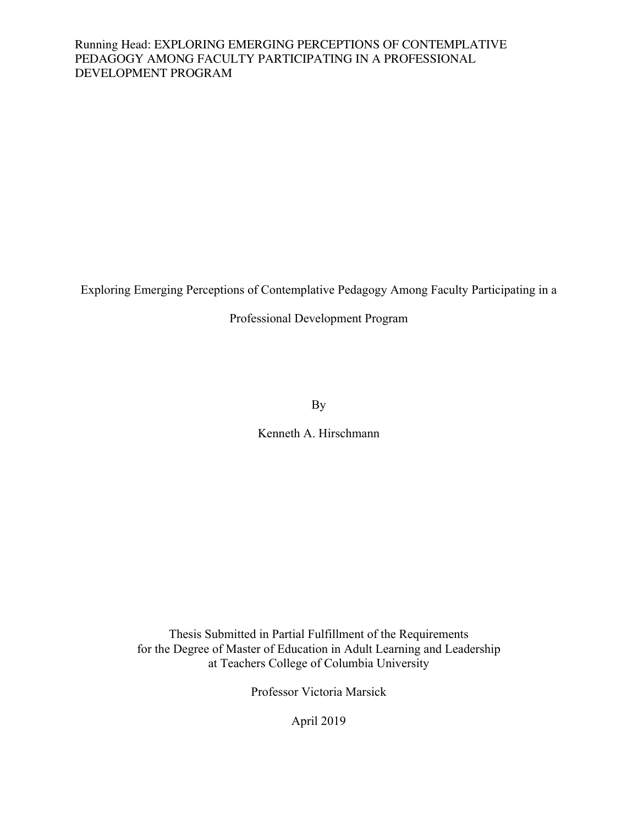Exploring Emerging Perceptions of Contemplative Pedagogy Among Faculty Participating in a

Professional Development Program

By

Kenneth A. Hirschmann

Thesis Submitted in Partial Fulfillment of the Requirements for the Degree of Master of Education in Adult Learning and Leadership at Teachers College of Columbia University

Professor Victoria Marsick

April 2019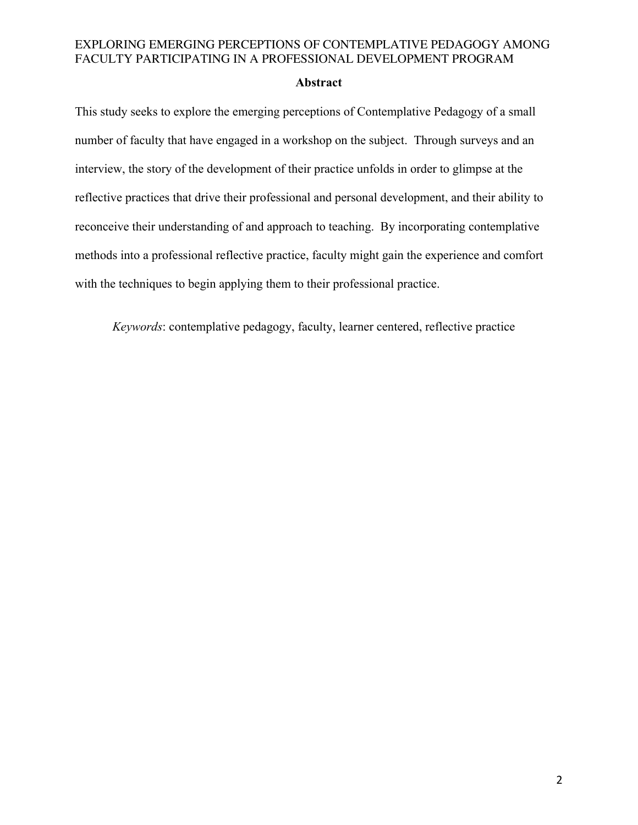#### **Abstract**

This study seeks to explore the emerging perceptions of Contemplative Pedagogy of a small number of faculty that have engaged in a workshop on the subject. Through surveys and an interview, the story of the development of their practice unfolds in order to glimpse at the reflective practices that drive their professional and personal development, and their ability to reconceive their understanding of and approach to teaching. By incorporating contemplative methods into a professional reflective practice, faculty might gain the experience and comfort with the techniques to begin applying them to their professional practice.

*Keywords*: contemplative pedagogy, faculty, learner centered, reflective practice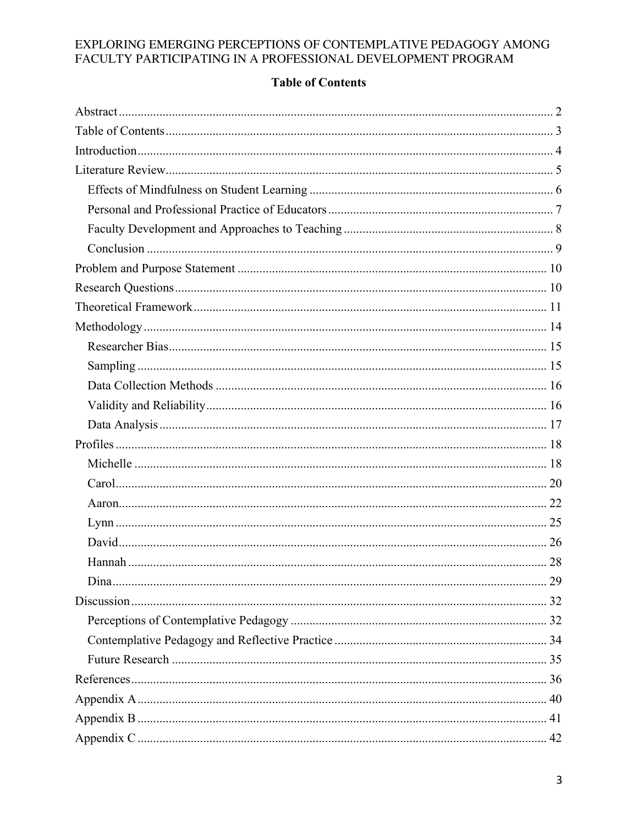# **Table of Contents**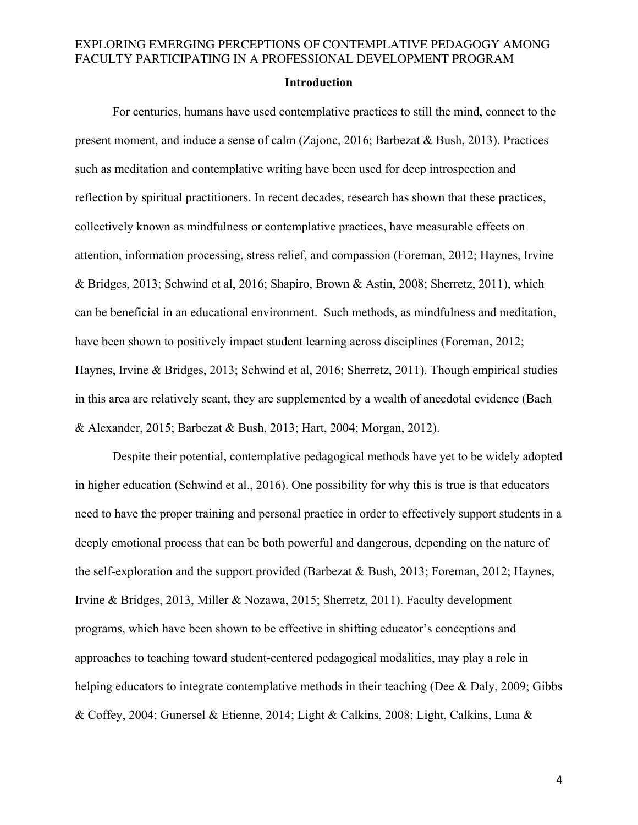#### **Introduction**

For centuries, humans have used contemplative practices to still the mind, connect to the present moment, and induce a sense of calm (Zajonc, 2016; Barbezat & Bush, 2013). Practices such as meditation and contemplative writing have been used for deep introspection and reflection by spiritual practitioners. In recent decades, research has shown that these practices, collectively known as mindfulness or contemplative practices, have measurable effects on attention, information processing, stress relief, and compassion (Foreman, 2012; Haynes, Irvine & Bridges, 2013; Schwind et al, 2016; Shapiro, Brown & Astin, 2008; Sherretz, 2011), which can be beneficial in an educational environment. Such methods, as mindfulness and meditation, have been shown to positively impact student learning across disciplines (Foreman, 2012; Haynes, Irvine & Bridges, 2013; Schwind et al, 2016; Sherretz, 2011). Though empirical studies in this area are relatively scant, they are supplemented by a wealth of anecdotal evidence (Bach & Alexander, 2015; Barbezat & Bush, 2013; Hart, 2004; Morgan, 2012).

Despite their potential, contemplative pedagogical methods have yet to be widely adopted in higher education (Schwind et al., 2016). One possibility for why this is true is that educators need to have the proper training and personal practice in order to effectively support students in a deeply emotional process that can be both powerful and dangerous, depending on the nature of the self-exploration and the support provided (Barbezat & Bush, 2013; Foreman, 2012; Haynes, Irvine & Bridges, 2013, Miller & Nozawa, 2015; Sherretz, 2011). Faculty development programs, which have been shown to be effective in shifting educator's conceptions and approaches to teaching toward student-centered pedagogical modalities, may play a role in helping educators to integrate contemplative methods in their teaching (Dee & Daly, 2009; Gibbs & Coffey, 2004; Gunersel & Etienne, 2014; Light & Calkins, 2008; Light, Calkins, Luna &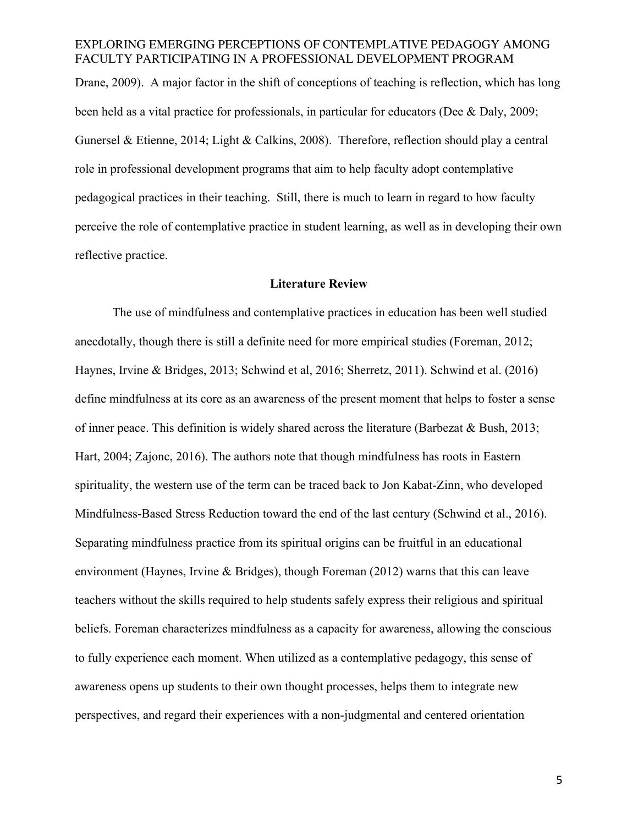Drane, 2009). A major factor in the shift of conceptions of teaching is reflection, which has long been held as a vital practice for professionals, in particular for educators (Dee & Daly, 2009; Gunersel & Etienne, 2014; Light & Calkins, 2008). Therefore, reflection should play a central role in professional development programs that aim to help faculty adopt contemplative pedagogical practices in their teaching. Still, there is much to learn in regard to how faculty perceive the role of contemplative practice in student learning, as well as in developing their own reflective practice.

#### **Literature Review**

The use of mindfulness and contemplative practices in education has been well studied anecdotally, though there is still a definite need for more empirical studies (Foreman, 2012; Haynes, Irvine & Bridges, 2013; Schwind et al, 2016; Sherretz, 2011). Schwind et al. (2016) define mindfulness at its core as an awareness of the present moment that helps to foster a sense of inner peace. This definition is widely shared across the literature (Barbezat & Bush, 2013; Hart, 2004; Zajonc, 2016). The authors note that though mindfulness has roots in Eastern spirituality, the western use of the term can be traced back to Jon Kabat-Zinn, who developed Mindfulness-Based Stress Reduction toward the end of the last century (Schwind et al., 2016). Separating mindfulness practice from its spiritual origins can be fruitful in an educational environment (Haynes, Irvine & Bridges), though Foreman (2012) warns that this can leave teachers without the skills required to help students safely express their religious and spiritual beliefs. Foreman characterizes mindfulness as a capacity for awareness, allowing the conscious to fully experience each moment. When utilized as a contemplative pedagogy, this sense of awareness opens up students to their own thought processes, helps them to integrate new perspectives, and regard their experiences with a non-judgmental and centered orientation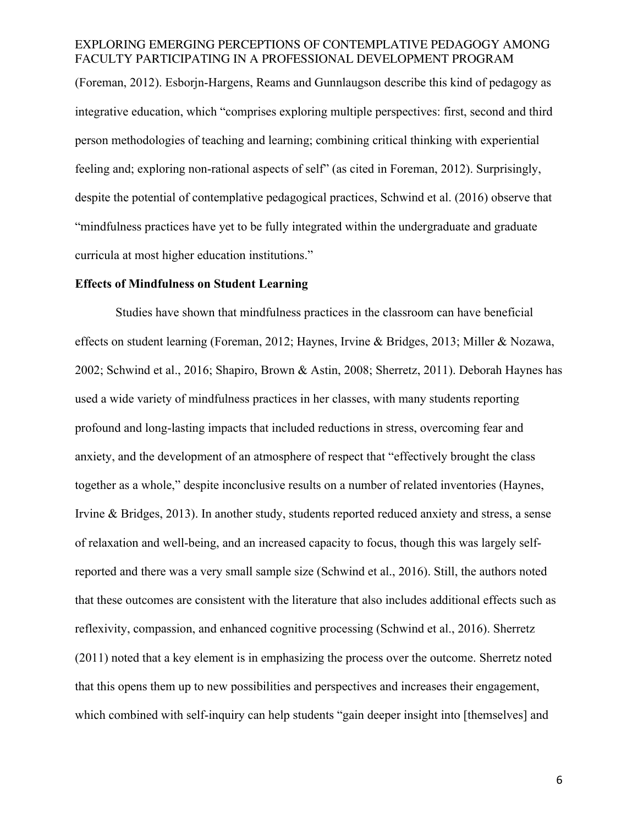(Foreman, 2012). Esborjn-Hargens, Reams and Gunnlaugson describe this kind of pedagogy as integrative education, which "comprises exploring multiple perspectives: first, second and third person methodologies of teaching and learning; combining critical thinking with experiential feeling and; exploring non-rational aspects of self" (as cited in Foreman, 2012). Surprisingly, despite the potential of contemplative pedagogical practices, Schwind et al. (2016) observe that "mindfulness practices have yet to be fully integrated within the undergraduate and graduate curricula at most higher education institutions."

#### **Effects of Mindfulness on Student Learning**

Studies have shown that mindfulness practices in the classroom can have beneficial effects on student learning (Foreman, 2012; Haynes, Irvine & Bridges, 2013; Miller & Nozawa, 2002; Schwind et al., 2016; Shapiro, Brown & Astin, 2008; Sherretz, 2011). Deborah Haynes has used a wide variety of mindfulness practices in her classes, with many students reporting profound and long-lasting impacts that included reductions in stress, overcoming fear and anxiety, and the development of an atmosphere of respect that "effectively brought the class together as a whole," despite inconclusive results on a number of related inventories (Haynes, Irvine & Bridges, 2013). In another study, students reported reduced anxiety and stress, a sense of relaxation and well-being, and an increased capacity to focus, though this was largely selfreported and there was a very small sample size (Schwind et al., 2016). Still, the authors noted that these outcomes are consistent with the literature that also includes additional effects such as reflexivity, compassion, and enhanced cognitive processing (Schwind et al., 2016). Sherretz (2011) noted that a key element is in emphasizing the process over the outcome. Sherretz noted that this opens them up to new possibilities and perspectives and increases their engagement, which combined with self-inquiry can help students "gain deeper insight into [themselves] and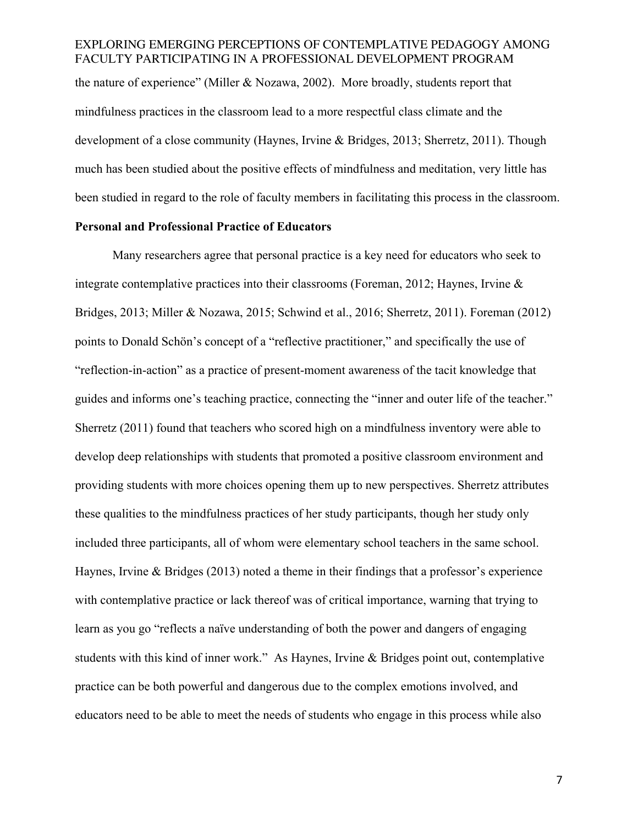EXPLORING EMERGING PERCEPTIONS OF CONTEMPLATIVE PEDAGOGY AMONG FACULTY PARTICIPATING IN A PROFESSIONAL DEVELOPMENT PROGRAM the nature of experience" (Miller & Nozawa, 2002). More broadly, students report that mindfulness practices in the classroom lead to a more respectful class climate and the development of a close community (Haynes, Irvine & Bridges, 2013; Sherretz, 2011). Though much has been studied about the positive effects of mindfulness and meditation, very little has been studied in regard to the role of faculty members in facilitating this process in the classroom.

#### **Personal and Professional Practice of Educators**

Many researchers agree that personal practice is a key need for educators who seek to integrate contemplative practices into their classrooms (Foreman, 2012; Haynes, Irvine  $\&$ Bridges, 2013; Miller & Nozawa, 2015; Schwind et al., 2016; Sherretz, 2011). Foreman (2012) points to Donald Schön's concept of a "reflective practitioner," and specifically the use of "reflection-in-action" as a practice of present-moment awareness of the tacit knowledge that guides and informs one's teaching practice, connecting the "inner and outer life of the teacher." Sherretz (2011) found that teachers who scored high on a mindfulness inventory were able to develop deep relationships with students that promoted a positive classroom environment and providing students with more choices opening them up to new perspectives. Sherretz attributes these qualities to the mindfulness practices of her study participants, though her study only included three participants, all of whom were elementary school teachers in the same school. Haynes, Irvine  $\&$  Bridges (2013) noted a theme in their findings that a professor's experience with contemplative practice or lack thereof was of critical importance, warning that trying to learn as you go "reflects a naïve understanding of both the power and dangers of engaging students with this kind of inner work." As Haynes, Irvine & Bridges point out, contemplative practice can be both powerful and dangerous due to the complex emotions involved, and educators need to be able to meet the needs of students who engage in this process while also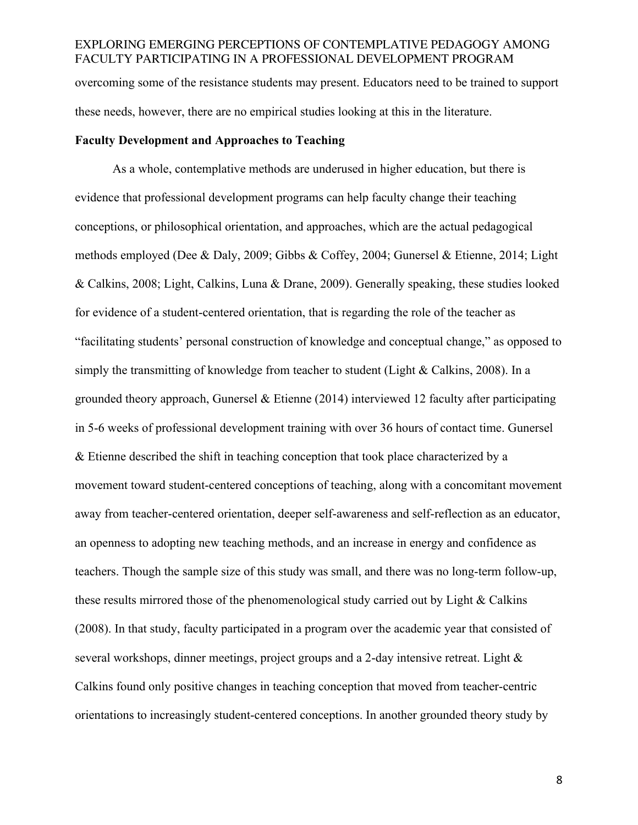# EXPLORING EMERGING PERCEPTIONS OF CONTEMPLATIVE PEDAGOGY AMONG FACULTY PARTICIPATING IN A PROFESSIONAL DEVELOPMENT PROGRAM overcoming some of the resistance students may present. Educators need to be trained to support these needs, however, there are no empirical studies looking at this in the literature.

#### **Faculty Development and Approaches to Teaching**

As a whole, contemplative methods are underused in higher education, but there is evidence that professional development programs can help faculty change their teaching conceptions, or philosophical orientation, and approaches, which are the actual pedagogical methods employed (Dee & Daly, 2009; Gibbs & Coffey, 2004; Gunersel & Etienne, 2014; Light & Calkins, 2008; Light, Calkins, Luna & Drane, 2009). Generally speaking, these studies looked for evidence of a student-centered orientation, that is regarding the role of the teacher as "facilitating students' personal construction of knowledge and conceptual change," as opposed to simply the transmitting of knowledge from teacher to student (Light & Calkins, 2008). In a grounded theory approach, Gunersel & Etienne (2014) interviewed 12 faculty after participating in 5-6 weeks of professional development training with over 36 hours of contact time. Gunersel & Etienne described the shift in teaching conception that took place characterized by a movement toward student-centered conceptions of teaching, along with a concomitant movement away from teacher-centered orientation, deeper self-awareness and self-reflection as an educator, an openness to adopting new teaching methods, and an increase in energy and confidence as teachers. Though the sample size of this study was small, and there was no long-term follow-up, these results mirrored those of the phenomenological study carried out by Light & Calkins (2008). In that study, faculty participated in a program over the academic year that consisted of several workshops, dinner meetings, project groups and a 2-day intensive retreat. Light & Calkins found only positive changes in teaching conception that moved from teacher-centric orientations to increasingly student-centered conceptions. In another grounded theory study by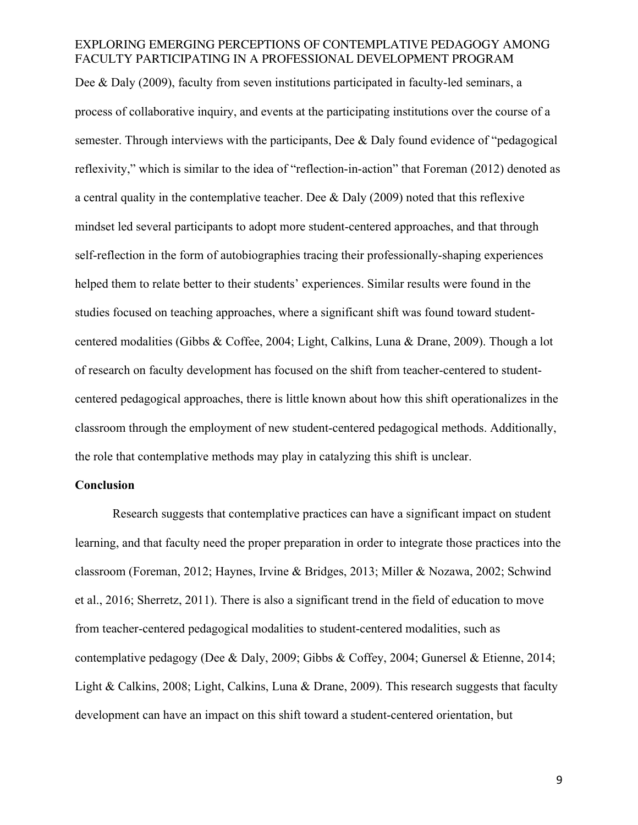Dee & Daly (2009), faculty from seven institutions participated in faculty-led seminars, a process of collaborative inquiry, and events at the participating institutions over the course of a semester. Through interviews with the participants, Dee  $\&$  Daly found evidence of "pedagogical" reflexivity," which is similar to the idea of "reflection-in-action" that Foreman (2012) denoted as a central quality in the contemplative teacher. Dee & Daly (2009) noted that this reflexive mindset led several participants to adopt more student-centered approaches, and that through self-reflection in the form of autobiographies tracing their professionally-shaping experiences helped them to relate better to their students' experiences. Similar results were found in the studies focused on teaching approaches, where a significant shift was found toward studentcentered modalities (Gibbs & Coffee, 2004; Light, Calkins, Luna & Drane, 2009). Though a lot of research on faculty development has focused on the shift from teacher-centered to studentcentered pedagogical approaches, there is little known about how this shift operationalizes in the classroom through the employment of new student-centered pedagogical methods. Additionally, the role that contemplative methods may play in catalyzing this shift is unclear.

#### **Conclusion**

Research suggests that contemplative practices can have a significant impact on student learning, and that faculty need the proper preparation in order to integrate those practices into the classroom (Foreman, 2012; Haynes, Irvine & Bridges, 2013; Miller & Nozawa, 2002; Schwind et al., 2016; Sherretz, 2011). There is also a significant trend in the field of education to move from teacher-centered pedagogical modalities to student-centered modalities, such as contemplative pedagogy (Dee & Daly, 2009; Gibbs & Coffey, 2004; Gunersel & Etienne, 2014; Light & Calkins, 2008; Light, Calkins, Luna & Drane, 2009). This research suggests that faculty development can have an impact on this shift toward a student-centered orientation, but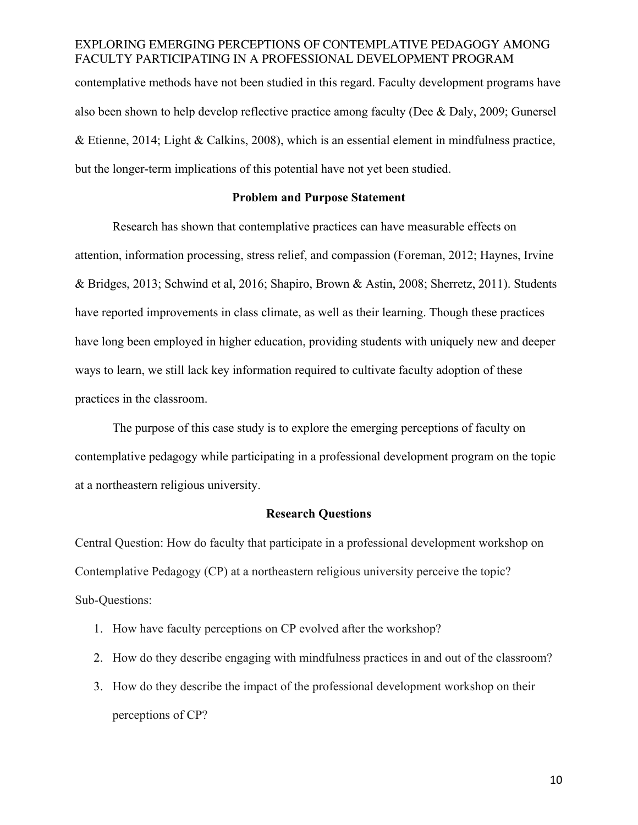contemplative methods have not been studied in this regard. Faculty development programs have also been shown to help develop reflective practice among faculty (Dee & Daly, 2009; Gunersel & Etienne, 2014; Light & Calkins, 2008), which is an essential element in mindfulness practice, but the longer-term implications of this potential have not yet been studied.

#### **Problem and Purpose Statement**

Research has shown that contemplative practices can have measurable effects on attention, information processing, stress relief, and compassion (Foreman, 2012; Haynes, Irvine & Bridges, 2013; Schwind et al, 2016; Shapiro, Brown & Astin, 2008; Sherretz, 2011). Students have reported improvements in class climate, as well as their learning. Though these practices have long been employed in higher education, providing students with uniquely new and deeper ways to learn, we still lack key information required to cultivate faculty adoption of these practices in the classroom.

The purpose of this case study is to explore the emerging perceptions of faculty on contemplative pedagogy while participating in a professional development program on the topic at a northeastern religious university.

#### **Research Questions**

Central Question: How do faculty that participate in a professional development workshop on Contemplative Pedagogy (CP) at a northeastern religious university perceive the topic? Sub-Questions:

- 1. How have faculty perceptions on CP evolved after the workshop?
- 2. How do they describe engaging with mindfulness practices in and out of the classroom?
- 3. How do they describe the impact of the professional development workshop on their perceptions of CP?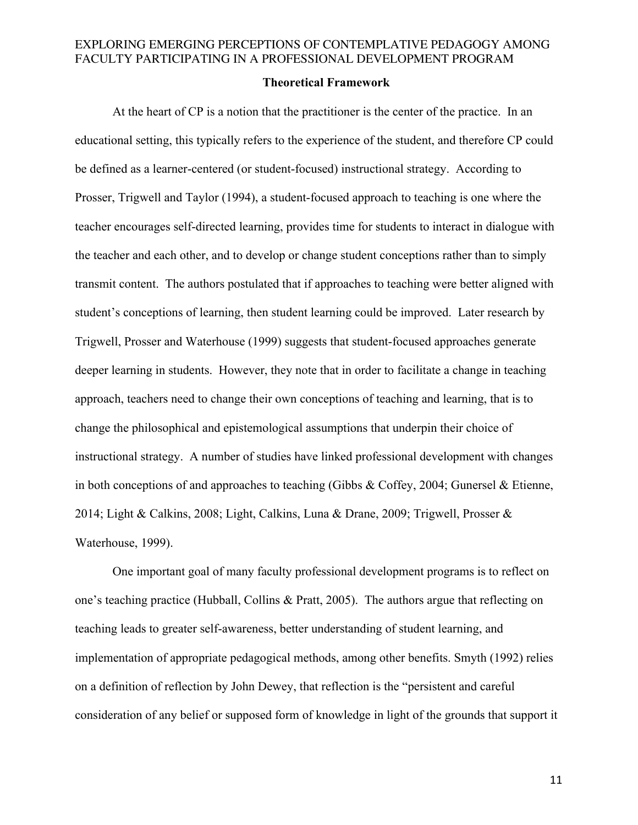#### **Theoretical Framework**

At the heart of CP is a notion that the practitioner is the center of the practice. In an educational setting, this typically refers to the experience of the student, and therefore CP could be defined as a learner-centered (or student-focused) instructional strategy. According to Prosser, Trigwell and Taylor (1994), a student-focused approach to teaching is one where the teacher encourages self-directed learning, provides time for students to interact in dialogue with the teacher and each other, and to develop or change student conceptions rather than to simply transmit content. The authors postulated that if approaches to teaching were better aligned with student's conceptions of learning, then student learning could be improved. Later research by Trigwell, Prosser and Waterhouse (1999) suggests that student-focused approaches generate deeper learning in students. However, they note that in order to facilitate a change in teaching approach, teachers need to change their own conceptions of teaching and learning, that is to change the philosophical and epistemological assumptions that underpin their choice of instructional strategy. A number of studies have linked professional development with changes in both conceptions of and approaches to teaching (Gibbs & Coffey, 2004; Gunersel & Etienne, 2014; Light & Calkins, 2008; Light, Calkins, Luna & Drane, 2009; Trigwell, Prosser & Waterhouse, 1999).

One important goal of many faculty professional development programs is to reflect on one's teaching practice (Hubball, Collins & Pratt, 2005). The authors argue that reflecting on teaching leads to greater self-awareness, better understanding of student learning, and implementation of appropriate pedagogical methods, among other benefits. Smyth (1992) relies on a definition of reflection by John Dewey, that reflection is the "persistent and careful consideration of any belief or supposed form of knowledge in light of the grounds that support it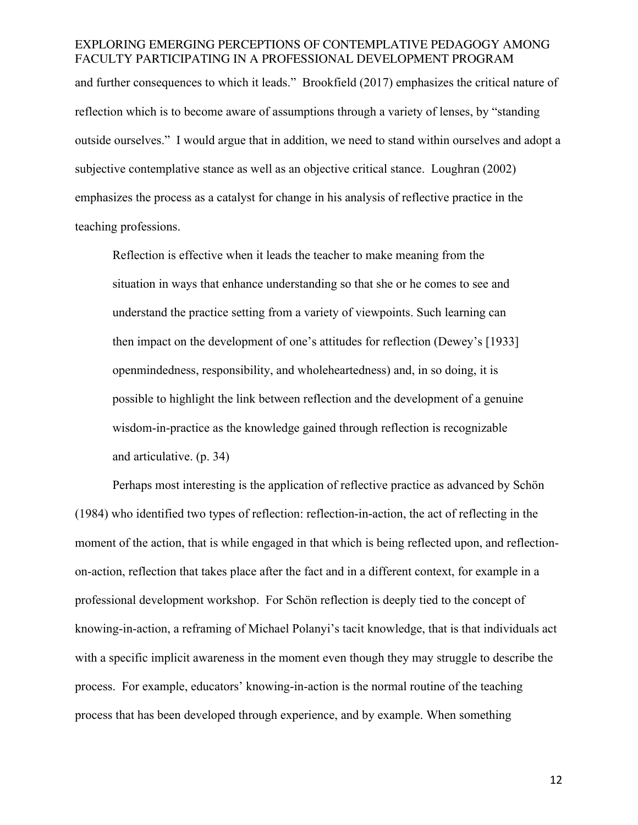and further consequences to which it leads." Brookfield (2017) emphasizes the critical nature of reflection which is to become aware of assumptions through a variety of lenses, by "standing outside ourselves." I would argue that in addition, we need to stand within ourselves and adopt a subjective contemplative stance as well as an objective critical stance. Loughran (2002) emphasizes the process as a catalyst for change in his analysis of reflective practice in the teaching professions.

Reflection is effective when it leads the teacher to make meaning from the situation in ways that enhance understanding so that she or he comes to see and understand the practice setting from a variety of viewpoints. Such learning can then impact on the development of one's attitudes for reflection (Dewey's [1933] openmindedness, responsibility, and wholeheartedness) and, in so doing, it is possible to highlight the link between reflection and the development of a genuine wisdom-in-practice as the knowledge gained through reflection is recognizable and articulative. (p. 34)

Perhaps most interesting is the application of reflective practice as advanced by Schön (1984) who identified two types of reflection: reflection-in-action, the act of reflecting in the moment of the action, that is while engaged in that which is being reflected upon, and reflectionon-action, reflection that takes place after the fact and in a different context, for example in a professional development workshop. For Schön reflection is deeply tied to the concept of knowing-in-action, a reframing of Michael Polanyi's tacit knowledge, that is that individuals act with a specific implicit awareness in the moment even though they may struggle to describe the process. For example, educators' knowing-in-action is the normal routine of the teaching process that has been developed through experience, and by example. When something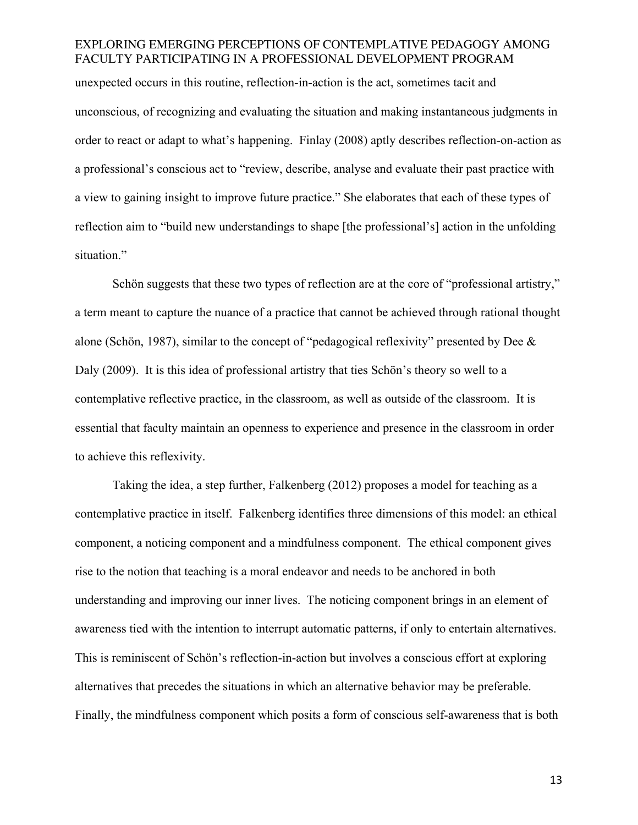unexpected occurs in this routine, reflection-in-action is the act, sometimes tacit and unconscious, of recognizing and evaluating the situation and making instantaneous judgments in order to react or adapt to what's happening. Finlay (2008) aptly describes reflection-on-action as a professional's conscious act to "review, describe, analyse and evaluate their past practice with a view to gaining insight to improve future practice." She elaborates that each of these types of reflection aim to "build new understandings to shape [the professional's] action in the unfolding situation."

Schön suggests that these two types of reflection are at the core of "professional artistry," a term meant to capture the nuance of a practice that cannot be achieved through rational thought alone (Schön, 1987), similar to the concept of "pedagogical reflexivity" presented by Dee & Daly (2009). It is this idea of professional artistry that ties Schön's theory so well to a contemplative reflective practice, in the classroom, as well as outside of the classroom. It is essential that faculty maintain an openness to experience and presence in the classroom in order to achieve this reflexivity.

Taking the idea, a step further, Falkenberg (2012) proposes a model for teaching as a contemplative practice in itself. Falkenberg identifies three dimensions of this model: an ethical component, a noticing component and a mindfulness component. The ethical component gives rise to the notion that teaching is a moral endeavor and needs to be anchored in both understanding and improving our inner lives. The noticing component brings in an element of awareness tied with the intention to interrupt automatic patterns, if only to entertain alternatives. This is reminiscent of Schön's reflection-in-action but involves a conscious effort at exploring alternatives that precedes the situations in which an alternative behavior may be preferable. Finally, the mindfulness component which posits a form of conscious self-awareness that is both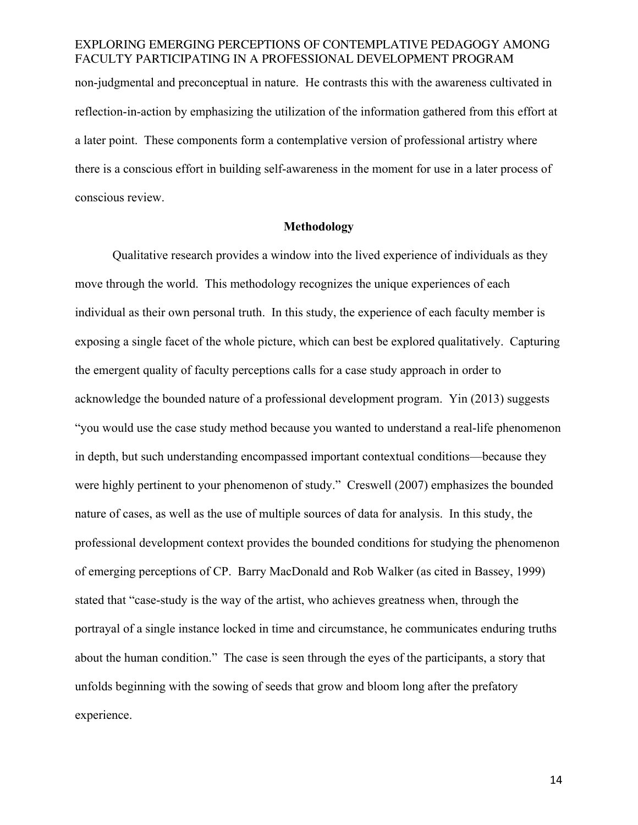non-judgmental and preconceptual in nature. He contrasts this with the awareness cultivated in reflection-in-action by emphasizing the utilization of the information gathered from this effort at a later point. These components form a contemplative version of professional artistry where there is a conscious effort in building self-awareness in the moment for use in a later process of conscious review.

### **Methodology**

Qualitative research provides a window into the lived experience of individuals as they move through the world. This methodology recognizes the unique experiences of each individual as their own personal truth. In this study, the experience of each faculty member is exposing a single facet of the whole picture, which can best be explored qualitatively. Capturing the emergent quality of faculty perceptions calls for a case study approach in order to acknowledge the bounded nature of a professional development program. Yin (2013) suggests "you would use the case study method because you wanted to understand a real-life phenomenon in depth, but such understanding encompassed important contextual conditions—because they were highly pertinent to your phenomenon of study." Creswell (2007) emphasizes the bounded nature of cases, as well as the use of multiple sources of data for analysis. In this study, the professional development context provides the bounded conditions for studying the phenomenon of emerging perceptions of CP. Barry MacDonald and Rob Walker (as cited in Bassey, 1999) stated that "case-study is the way of the artist, who achieves greatness when, through the portrayal of a single instance locked in time and circumstance, he communicates enduring truths about the human condition." The case is seen through the eyes of the participants, a story that unfolds beginning with the sowing of seeds that grow and bloom long after the prefatory experience.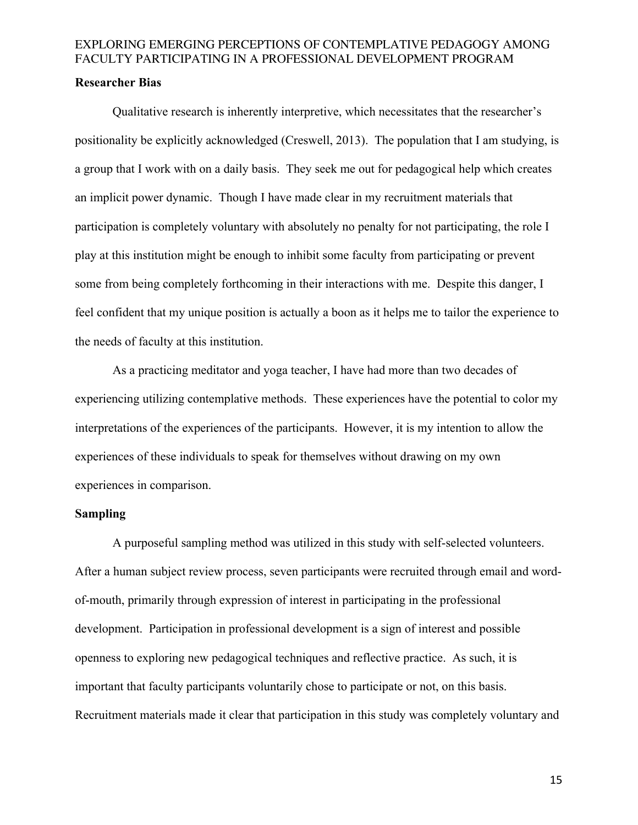## **Researcher Bias**

Qualitative research is inherently interpretive, which necessitates that the researcher's positionality be explicitly acknowledged (Creswell, 2013). The population that I am studying, is a group that I work with on a daily basis. They seek me out for pedagogical help which creates an implicit power dynamic. Though I have made clear in my recruitment materials that participation is completely voluntary with absolutely no penalty for not participating, the role I play at this institution might be enough to inhibit some faculty from participating or prevent some from being completely forthcoming in their interactions with me. Despite this danger, I feel confident that my unique position is actually a boon as it helps me to tailor the experience to the needs of faculty at this institution.

As a practicing meditator and yoga teacher, I have had more than two decades of experiencing utilizing contemplative methods. These experiences have the potential to color my interpretations of the experiences of the participants. However, it is my intention to allow the experiences of these individuals to speak for themselves without drawing on my own experiences in comparison.

### **Sampling**

A purposeful sampling method was utilized in this study with self-selected volunteers. After a human subject review process, seven participants were recruited through email and wordof-mouth, primarily through expression of interest in participating in the professional development. Participation in professional development is a sign of interest and possible openness to exploring new pedagogical techniques and reflective practice. As such, it is important that faculty participants voluntarily chose to participate or not, on this basis. Recruitment materials made it clear that participation in this study was completely voluntary and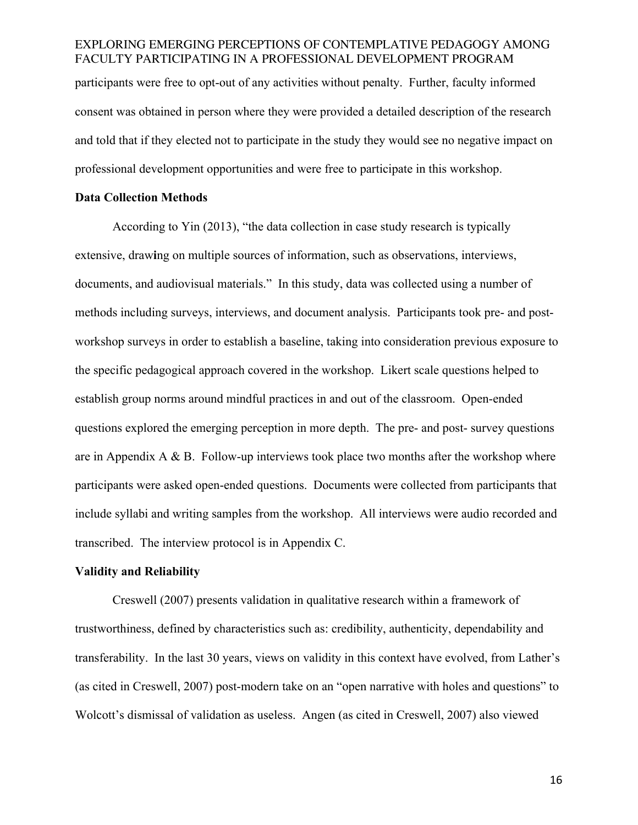participants were free to opt-out of any activities without penalty. Further, faculty informed consent was obtained in person where they were provided a detailed description of the research and told that if they elected not to participate in the study they would see no negative impact on professional development opportunities and were free to participate in this workshop.

#### **Data Collection Methods**

According to Yin (2013), "the data collection in case study research is typically extensive, draw**i**ng on multiple sources of information, such as observations, interviews, documents, and audiovisual materials." In this study, data was collected using a number of methods including surveys, interviews, and document analysis. Participants took pre- and postworkshop surveys in order to establish a baseline, taking into consideration previous exposure to the specific pedagogical approach covered in the workshop. Likert scale questions helped to establish group norms around mindful practices in and out of the classroom. Open-ended questions explored the emerging perception in more depth. The pre- and post- survey questions are in Appendix A & B. Follow-up interviews took place two months after the workshop where participants were asked open-ended questions. Documents were collected from participants that include syllabi and writing samples from the workshop. All interviews were audio recorded and transcribed. The interview protocol is in Appendix C.

#### **Validity and Reliability**

Creswell (2007) presents validation in qualitative research within a framework of trustworthiness, defined by characteristics such as: credibility, authenticity, dependability and transferability. In the last 30 years, views on validity in this context have evolved, from Lather's (as cited in Creswell, 2007) post-modern take on an "open narrative with holes and questions" to Wolcott's dismissal of validation as useless. Angen (as cited in Creswell, 2007) also viewed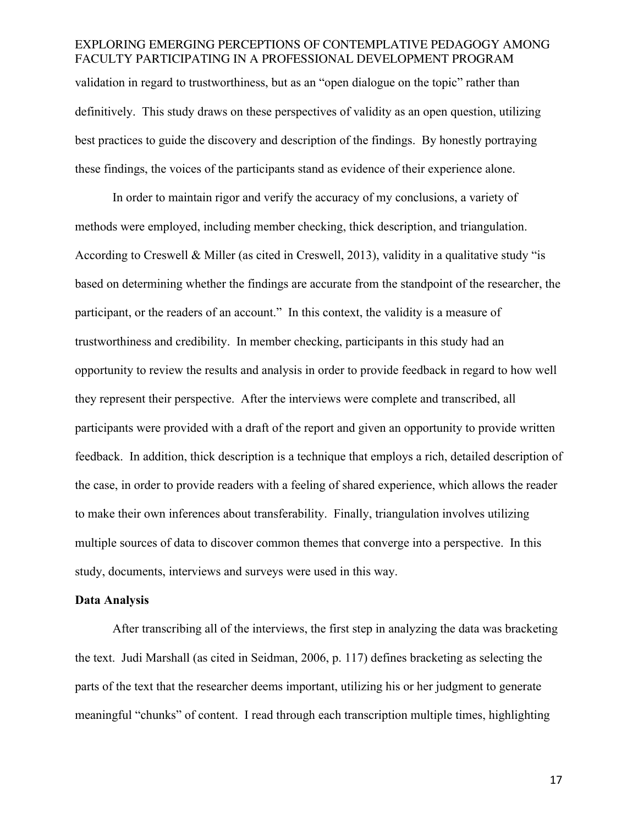# EXPLORING EMERGING PERCEPTIONS OF CONTEMPLATIVE PEDAGOGY AMONG FACULTY PARTICIPATING IN A PROFESSIONAL DEVELOPMENT PROGRAM validation in regard to trustworthiness, but as an "open dialogue on the topic" rather than definitively. This study draws on these perspectives of validity as an open question, utilizing best practices to guide the discovery and description of the findings. By honestly portraying these findings, the voices of the participants stand as evidence of their experience alone.

In order to maintain rigor and verify the accuracy of my conclusions, a variety of methods were employed, including member checking, thick description, and triangulation. According to Creswell & Miller (as cited in Creswell, 2013), validity in a qualitative study "is based on determining whether the findings are accurate from the standpoint of the researcher, the participant, or the readers of an account." In this context, the validity is a measure of trustworthiness and credibility. In member checking, participants in this study had an opportunity to review the results and analysis in order to provide feedback in regard to how well they represent their perspective. After the interviews were complete and transcribed, all participants were provided with a draft of the report and given an opportunity to provide written feedback. In addition, thick description is a technique that employs a rich, detailed description of the case, in order to provide readers with a feeling of shared experience, which allows the reader to make their own inferences about transferability. Finally, triangulation involves utilizing multiple sources of data to discover common themes that converge into a perspective. In this study, documents, interviews and surveys were used in this way.

#### **Data Analysis**

After transcribing all of the interviews, the first step in analyzing the data was bracketing the text. Judi Marshall (as cited in Seidman, 2006, p. 117) defines bracketing as selecting the parts of the text that the researcher deems important, utilizing his or her judgment to generate meaningful "chunks" of content. I read through each transcription multiple times, highlighting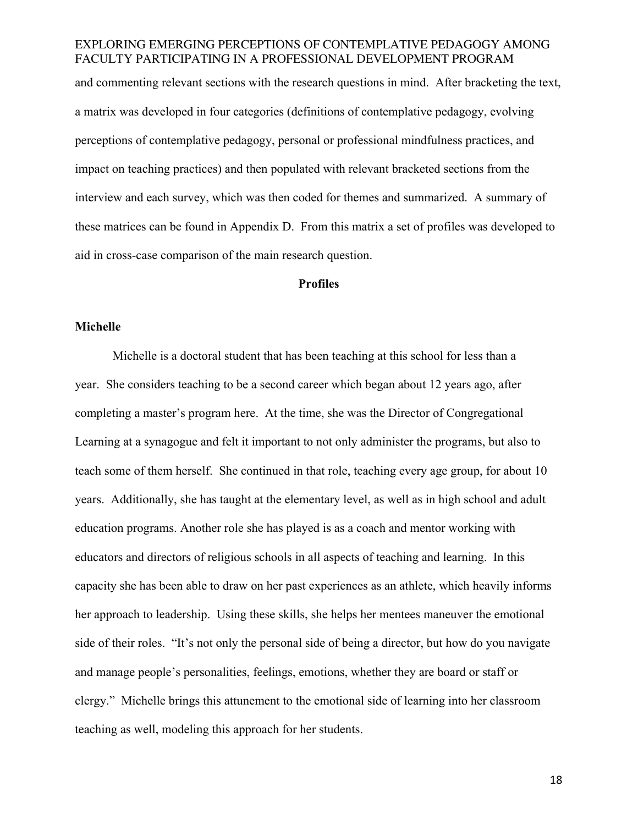and commenting relevant sections with the research questions in mind. After bracketing the text, a matrix was developed in four categories (definitions of contemplative pedagogy, evolving perceptions of contemplative pedagogy, personal or professional mindfulness practices, and impact on teaching practices) and then populated with relevant bracketed sections from the interview and each survey, which was then coded for themes and summarized. A summary of these matrices can be found in Appendix D. From this matrix a set of profiles was developed to aid in cross-case comparison of the main research question.

### **Profiles**

### **Michelle**

Michelle is a doctoral student that has been teaching at this school for less than a year. She considers teaching to be a second career which began about 12 years ago, after completing a master's program here. At the time, she was the Director of Congregational Learning at a synagogue and felt it important to not only administer the programs, but also to teach some of them herself. She continued in that role, teaching every age group, for about 10 years. Additionally, she has taught at the elementary level, as well as in high school and adult education programs. Another role she has played is as a coach and mentor working with educators and directors of religious schools in all aspects of teaching and learning. In this capacity she has been able to draw on her past experiences as an athlete, which heavily informs her approach to leadership. Using these skills, she helps her mentees maneuver the emotional side of their roles. "It's not only the personal side of being a director, but how do you navigate and manage people's personalities, feelings, emotions, whether they are board or staff or clergy." Michelle brings this attunement to the emotional side of learning into her classroom teaching as well, modeling this approach for her students.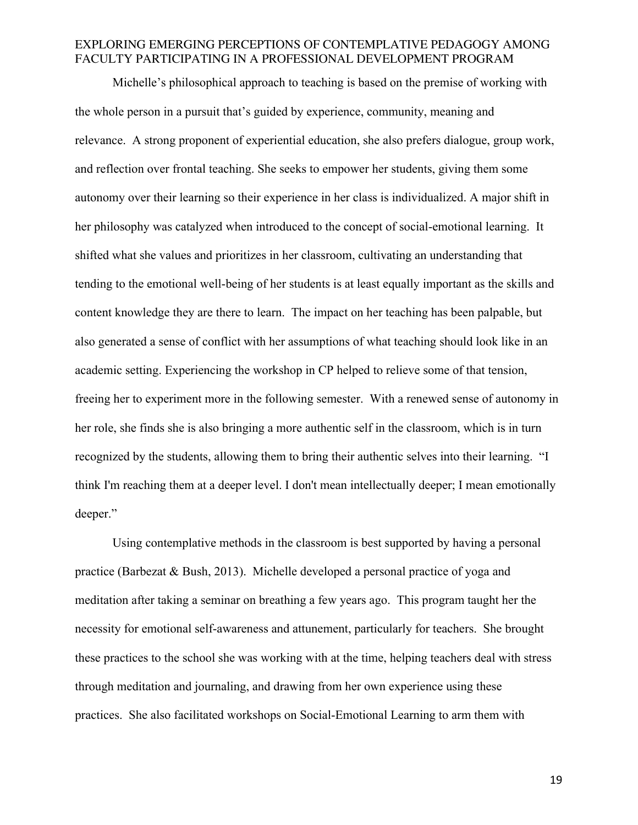Michelle's philosophical approach to teaching is based on the premise of working with the whole person in a pursuit that's guided by experience, community, meaning and relevance. A strong proponent of experiential education, she also prefers dialogue, group work, and reflection over frontal teaching. She seeks to empower her students, giving them some autonomy over their learning so their experience in her class is individualized. A major shift in her philosophy was catalyzed when introduced to the concept of social-emotional learning. It shifted what she values and prioritizes in her classroom, cultivating an understanding that tending to the emotional well-being of her students is at least equally important as the skills and content knowledge they are there to learn. The impact on her teaching has been palpable, but also generated a sense of conflict with her assumptions of what teaching should look like in an academic setting. Experiencing the workshop in CP helped to relieve some of that tension, freeing her to experiment more in the following semester. With a renewed sense of autonomy in her role, she finds she is also bringing a more authentic self in the classroom, which is in turn recognized by the students, allowing them to bring their authentic selves into their learning. "I think I'm reaching them at a deeper level. I don't mean intellectually deeper; I mean emotionally deeper."

Using contemplative methods in the classroom is best supported by having a personal practice (Barbezat & Bush, 2013). Michelle developed a personal practice of yoga and meditation after taking a seminar on breathing a few years ago. This program taught her the necessity for emotional self-awareness and attunement, particularly for teachers. She brought these practices to the school she was working with at the time, helping teachers deal with stress through meditation and journaling, and drawing from her own experience using these practices. She also facilitated workshops on Social-Emotional Learning to arm them with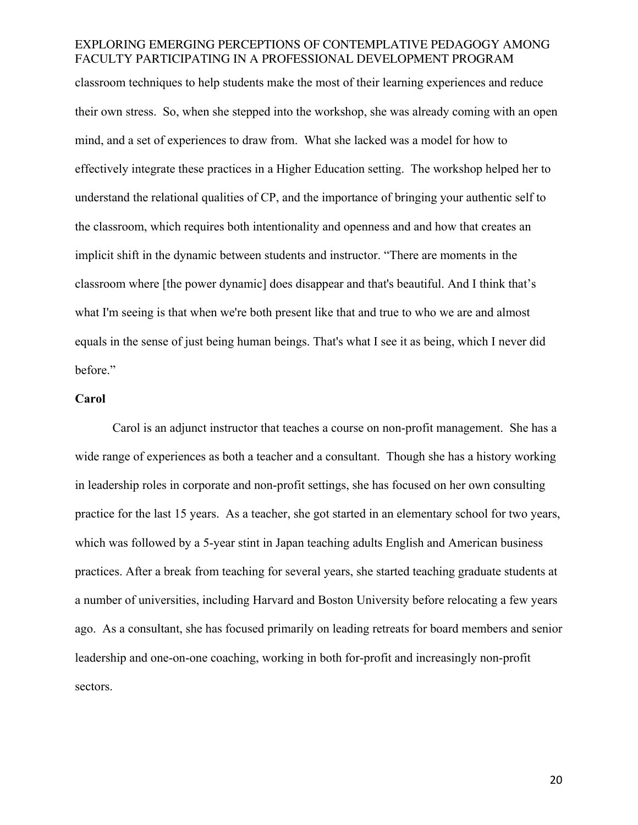classroom techniques to help students make the most of their learning experiences and reduce their own stress. So, when she stepped into the workshop, she was already coming with an open mind, and a set of experiences to draw from. What she lacked was a model for how to effectively integrate these practices in a Higher Education setting. The workshop helped her to understand the relational qualities of CP, and the importance of bringing your authentic self to the classroom, which requires both intentionality and openness and and how that creates an implicit shift in the dynamic between students and instructor. "There are moments in the classroom where [the power dynamic] does disappear and that's beautiful. And I think that's what I'm seeing is that when we're both present like that and true to who we are and almost equals in the sense of just being human beings. That's what I see it as being, which I never did before."

#### **Carol**

Carol is an adjunct instructor that teaches a course on non-profit management. She has a wide range of experiences as both a teacher and a consultant. Though she has a history working in leadership roles in corporate and non-profit settings, she has focused on her own consulting practice for the last 15 years. As a teacher, she got started in an elementary school for two years, which was followed by a 5-year stint in Japan teaching adults English and American business practices. After a break from teaching for several years, she started teaching graduate students at a number of universities, including Harvard and Boston University before relocating a few years ago. As a consultant, she has focused primarily on leading retreats for board members and senior leadership and one-on-one coaching, working in both for-profit and increasingly non-profit sectors.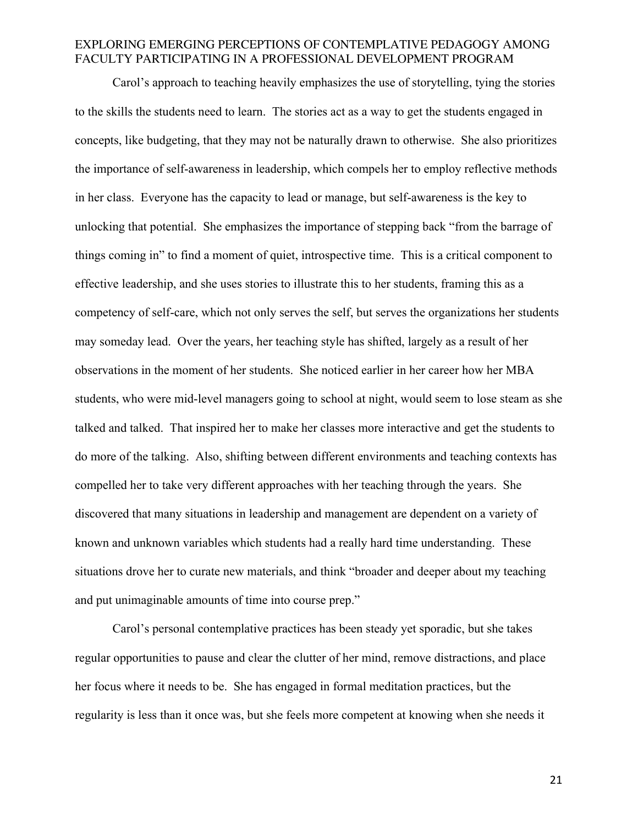Carol's approach to teaching heavily emphasizes the use of storytelling, tying the stories to the skills the students need to learn. The stories act as a way to get the students engaged in concepts, like budgeting, that they may not be naturally drawn to otherwise. She also prioritizes the importance of self-awareness in leadership, which compels her to employ reflective methods in her class. Everyone has the capacity to lead or manage, but self-awareness is the key to unlocking that potential. She emphasizes the importance of stepping back "from the barrage of things coming in" to find a moment of quiet, introspective time. This is a critical component to effective leadership, and she uses stories to illustrate this to her students, framing this as a competency of self-care, which not only serves the self, but serves the organizations her students may someday lead. Over the years, her teaching style has shifted, largely as a result of her observations in the moment of her students. She noticed earlier in her career how her MBA students, who were mid-level managers going to school at night, would seem to lose steam as she talked and talked. That inspired her to make her classes more interactive and get the students to do more of the talking. Also, shifting between different environments and teaching contexts has compelled her to take very different approaches with her teaching through the years. She discovered that many situations in leadership and management are dependent on a variety of known and unknown variables which students had a really hard time understanding. These situations drove her to curate new materials, and think "broader and deeper about my teaching and put unimaginable amounts of time into course prep."

Carol's personal contemplative practices has been steady yet sporadic, but she takes regular opportunities to pause and clear the clutter of her mind, remove distractions, and place her focus where it needs to be. She has engaged in formal meditation practices, but the regularity is less than it once was, but she feels more competent at knowing when she needs it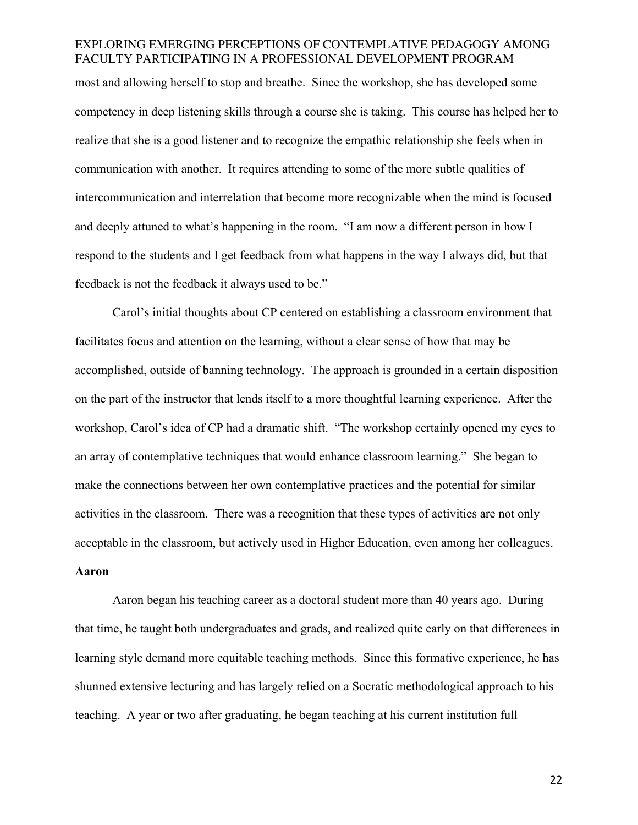most and allowing herself to stop and breathe. Since the workshop, she has developed some competency in deep listening skills through a course she is taking. This course has helped her to realize that she is a good listener and to recognize the empathic relationship she feels when in communication with another. It requires attending to some of the more subtle qualities of intercommunication and interrelation that become more recognizable when the mind is focused and deeply attuned to what's happening in the room. "I am now a different person in how I respond to the students and I get feedback from what happens in the way I always did, but that feedback is not the feedback it always used to be."

Carol's initial thoughts about CP centered on establishing a classroom environment that facilitates focus and attention on the learning, without a clear sense of how that may be accomplished, outside of banning technology. The approach is grounded in a certain disposition on the part of the instructor that lends itself to a more thoughtful learning experience. After the workshop, Carol's idea of CP had a dramatic shift. "The workshop certainly opened my eyes to an array of contemplative techniques that would enhance classroom learning." She began to make the connections between her own contemplative practices and the potential for similar activities in the classroom. There was a recognition that these types of activities are not only acceptable in the classroom, but actively used in Higher Education, even among her colleagues.

## **Aaron**

Aaron began his teaching career as a doctoral student more than 40 years ago. During that time, he taught both undergraduates and grads, and realized quite early on that differences in learning style demand more equitable teaching methods. Since this formative experience, he has shunned extensive lecturing and has largely relied on a Socratic methodological approach to his teaching. A year or two after graduating, he began teaching at his current institution full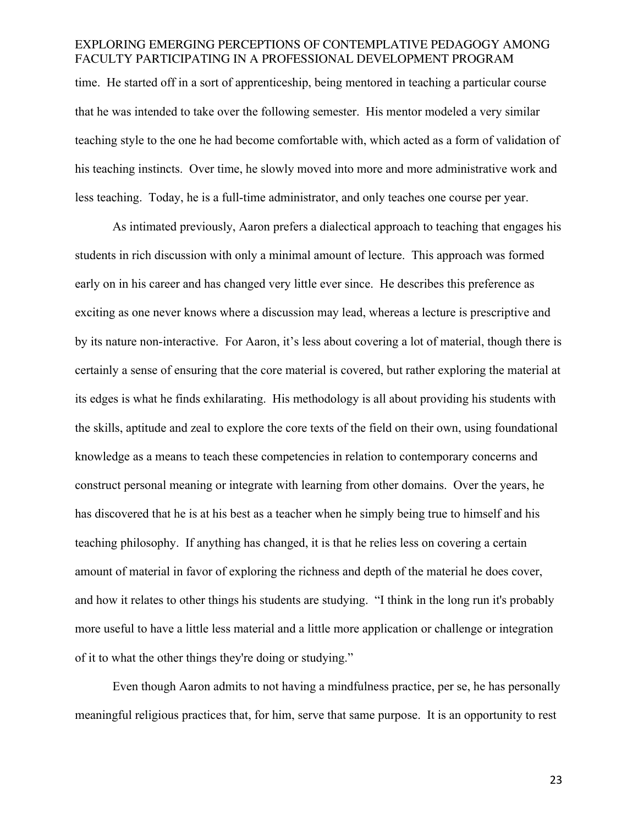time. He started off in a sort of apprenticeship, being mentored in teaching a particular course that he was intended to take over the following semester. His mentor modeled a very similar teaching style to the one he had become comfortable with, which acted as a form of validation of his teaching instincts. Over time, he slowly moved into more and more administrative work and less teaching. Today, he is a full-time administrator, and only teaches one course per year.

As intimated previously, Aaron prefers a dialectical approach to teaching that engages his students in rich discussion with only a minimal amount of lecture. This approach was formed early on in his career and has changed very little ever since. He describes this preference as exciting as one never knows where a discussion may lead, whereas a lecture is prescriptive and by its nature non-interactive. For Aaron, it's less about covering a lot of material, though there is certainly a sense of ensuring that the core material is covered, but rather exploring the material at its edges is what he finds exhilarating. His methodology is all about providing his students with the skills, aptitude and zeal to explore the core texts of the field on their own, using foundational knowledge as a means to teach these competencies in relation to contemporary concerns and construct personal meaning or integrate with learning from other domains. Over the years, he has discovered that he is at his best as a teacher when he simply being true to himself and his teaching philosophy. If anything has changed, it is that he relies less on covering a certain amount of material in favor of exploring the richness and depth of the material he does cover, and how it relates to other things his students are studying. "I think in the long run it's probably more useful to have a little less material and a little more application or challenge or integration of it to what the other things they're doing or studying."

Even though Aaron admits to not having a mindfulness practice, per se, he has personally meaningful religious practices that, for him, serve that same purpose. It is an opportunity to rest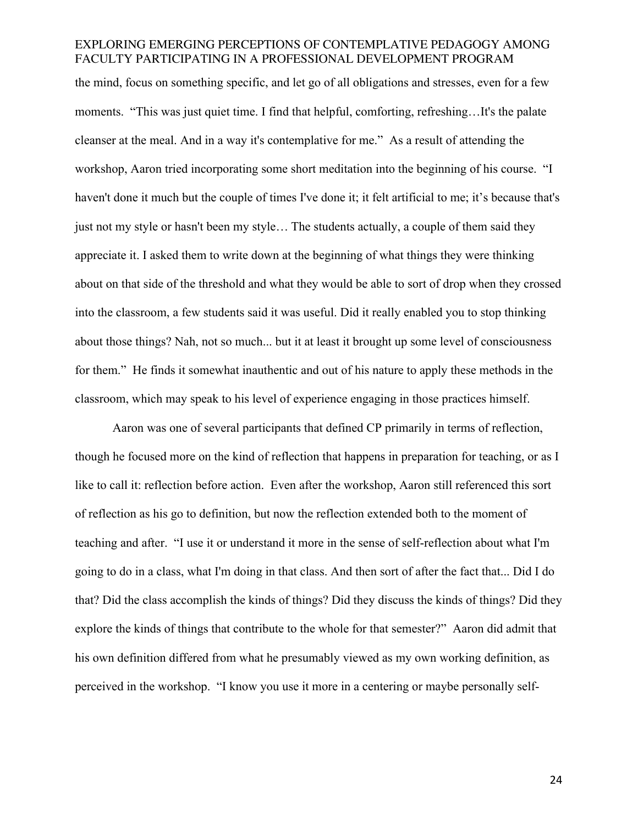the mind, focus on something specific, and let go of all obligations and stresses, even for a few moments. "This was just quiet time. I find that helpful, comforting, refreshing...It's the palate cleanser at the meal. And in a way it's contemplative for me." As a result of attending the workshop, Aaron tried incorporating some short meditation into the beginning of his course. "I haven't done it much but the couple of times I've done it; it felt artificial to me; it's because that's just not my style or hasn't been my style… The students actually, a couple of them said they appreciate it. I asked them to write down at the beginning of what things they were thinking about on that side of the threshold and what they would be able to sort of drop when they crossed into the classroom, a few students said it was useful. Did it really enabled you to stop thinking about those things? Nah, not so much... but it at least it brought up some level of consciousness for them." He finds it somewhat inauthentic and out of his nature to apply these methods in the classroom, which may speak to his level of experience engaging in those practices himself.

Aaron was one of several participants that defined CP primarily in terms of reflection, though he focused more on the kind of reflection that happens in preparation for teaching, or as I like to call it: reflection before action. Even after the workshop, Aaron still referenced this sort of reflection as his go to definition, but now the reflection extended both to the moment of teaching and after. "I use it or understand it more in the sense of self-reflection about what I'm going to do in a class, what I'm doing in that class. And then sort of after the fact that... Did I do that? Did the class accomplish the kinds of things? Did they discuss the kinds of things? Did they explore the kinds of things that contribute to the whole for that semester?" Aaron did admit that his own definition differed from what he presumably viewed as my own working definition, as perceived in the workshop. "I know you use it more in a centering or maybe personally self-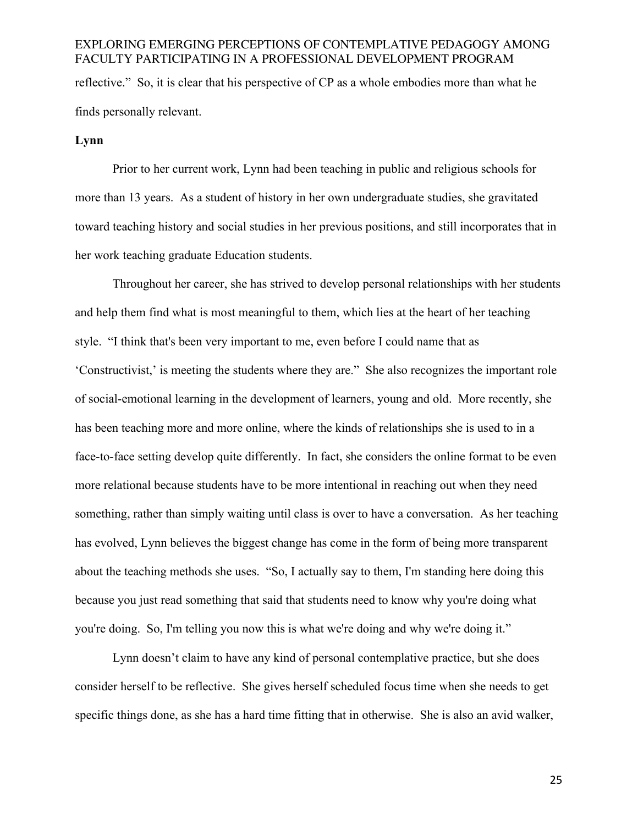# EXPLORING EMERGING PERCEPTIONS OF CONTEMPLATIVE PEDAGOGY AMONG FACULTY PARTICIPATING IN A PROFESSIONAL DEVELOPMENT PROGRAM reflective." So, it is clear that his perspective of CP as a whole embodies more than what he finds personally relevant.

#### **Lynn**

Prior to her current work, Lynn had been teaching in public and religious schools for more than 13 years. As a student of history in her own undergraduate studies, she gravitated toward teaching history and social studies in her previous positions, and still incorporates that in her work teaching graduate Education students.

Throughout her career, she has strived to develop personal relationships with her students and help them find what is most meaningful to them, which lies at the heart of her teaching style. "I think that's been very important to me, even before I could name that as 'Constructivist,' is meeting the students where they are." She also recognizes the important role of social-emotional learning in the development of learners, young and old. More recently, she has been teaching more and more online, where the kinds of relationships she is used to in a face-to-face setting develop quite differently. In fact, she considers the online format to be even more relational because students have to be more intentional in reaching out when they need something, rather than simply waiting until class is over to have a conversation. As her teaching has evolved, Lynn believes the biggest change has come in the form of being more transparent about the teaching methods she uses. "So, I actually say to them, I'm standing here doing this because you just read something that said that students need to know why you're doing what you're doing. So, I'm telling you now this is what we're doing and why we're doing it."

Lynn doesn't claim to have any kind of personal contemplative practice, but she does consider herself to be reflective. She gives herself scheduled focus time when she needs to get specific things done, as she has a hard time fitting that in otherwise. She is also an avid walker,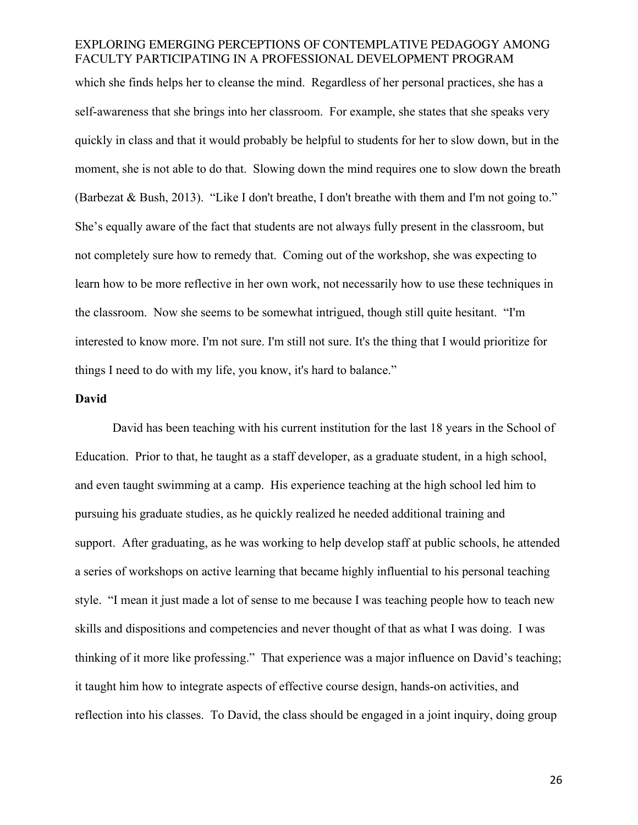which she finds helps her to cleanse the mind. Regardless of her personal practices, she has a self-awareness that she brings into her classroom. For example, she states that she speaks very quickly in class and that it would probably be helpful to students for her to slow down, but in the moment, she is not able to do that. Slowing down the mind requires one to slow down the breath (Barbezat & Bush, 2013). "Like I don't breathe, I don't breathe with them and I'm not going to." She's equally aware of the fact that students are not always fully present in the classroom, but not completely sure how to remedy that. Coming out of the workshop, she was expecting to learn how to be more reflective in her own work, not necessarily how to use these techniques in the classroom. Now she seems to be somewhat intrigued, though still quite hesitant. "I'm interested to know more. I'm not sure. I'm still not sure. It's the thing that I would prioritize for things I need to do with my life, you know, it's hard to balance."

#### **David**

David has been teaching with his current institution for the last 18 years in the School of Education. Prior to that, he taught as a staff developer, as a graduate student, in a high school, and even taught swimming at a camp. His experience teaching at the high school led him to pursuing his graduate studies, as he quickly realized he needed additional training and support. After graduating, as he was working to help develop staff at public schools, he attended a series of workshops on active learning that became highly influential to his personal teaching style. "I mean it just made a lot of sense to me because I was teaching people how to teach new skills and dispositions and competencies and never thought of that as what I was doing. I was thinking of it more like professing." That experience was a major influence on David's teaching; it taught him how to integrate aspects of effective course design, hands-on activities, and reflection into his classes. To David, the class should be engaged in a joint inquiry, doing group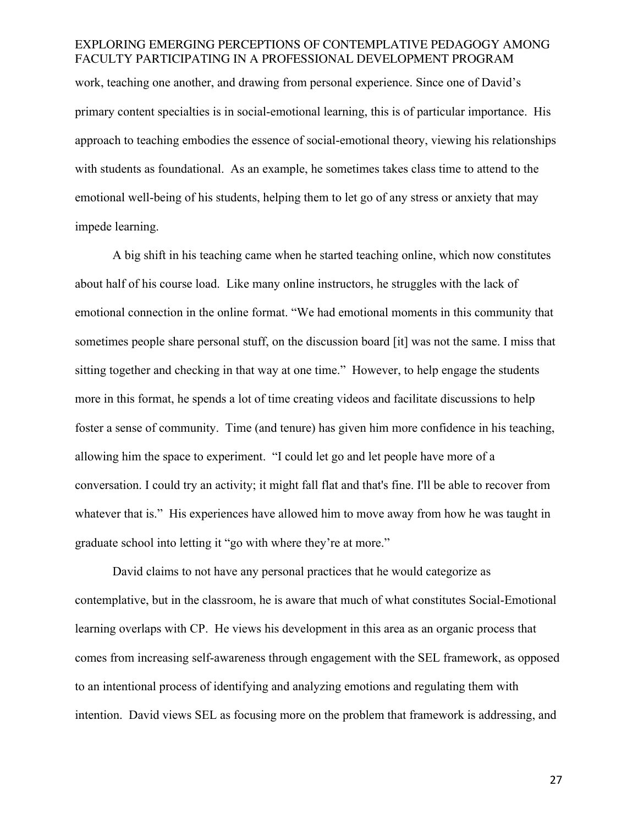work, teaching one another, and drawing from personal experience. Since one of David's primary content specialties is in social-emotional learning, this is of particular importance. His approach to teaching embodies the essence of social-emotional theory, viewing his relationships with students as foundational. As an example, he sometimes takes class time to attend to the emotional well-being of his students, helping them to let go of any stress or anxiety that may impede learning.

A big shift in his teaching came when he started teaching online, which now constitutes about half of his course load. Like many online instructors, he struggles with the lack of emotional connection in the online format. "We had emotional moments in this community that sometimes people share personal stuff, on the discussion board [it] was not the same. I miss that sitting together and checking in that way at one time." However, to help engage the students more in this format, he spends a lot of time creating videos and facilitate discussions to help foster a sense of community. Time (and tenure) has given him more confidence in his teaching, allowing him the space to experiment. "I could let go and let people have more of a conversation. I could try an activity; it might fall flat and that's fine. I'll be able to recover from whatever that is." His experiences have allowed him to move away from how he was taught in graduate school into letting it "go with where they're at more."

David claims to not have any personal practices that he would categorize as contemplative, but in the classroom, he is aware that much of what constitutes Social-Emotional learning overlaps with CP. He views his development in this area as an organic process that comes from increasing self-awareness through engagement with the SEL framework, as opposed to an intentional process of identifying and analyzing emotions and regulating them with intention. David views SEL as focusing more on the problem that framework is addressing, and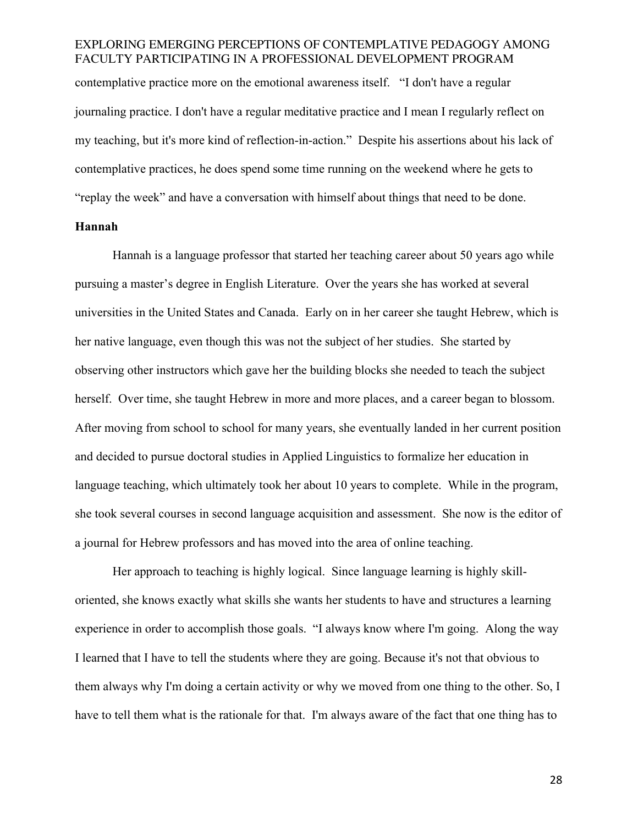contemplative practice more on the emotional awareness itself. "I don't have a regular journaling practice. I don't have a regular meditative practice and I mean I regularly reflect on my teaching, but it's more kind of reflection-in-action." Despite his assertions about his lack of contemplative practices, he does spend some time running on the weekend where he gets to "replay the week" and have a conversation with himself about things that need to be done.

#### **Hannah**

Hannah is a language professor that started her teaching career about 50 years ago while pursuing a master's degree in English Literature. Over the years she has worked at several universities in the United States and Canada. Early on in her career she taught Hebrew, which is her native language, even though this was not the subject of her studies. She started by observing other instructors which gave her the building blocks she needed to teach the subject herself. Over time, she taught Hebrew in more and more places, and a career began to blossom. After moving from school to school for many years, she eventually landed in her current position and decided to pursue doctoral studies in Applied Linguistics to formalize her education in language teaching, which ultimately took her about 10 years to complete. While in the program, she took several courses in second language acquisition and assessment. She now is the editor of a journal for Hebrew professors and has moved into the area of online teaching.

Her approach to teaching is highly logical. Since language learning is highly skilloriented, she knows exactly what skills she wants her students to have and structures a learning experience in order to accomplish those goals. "I always know where I'm going. Along the way I learned that I have to tell the students where they are going. Because it's not that obvious to them always why I'm doing a certain activity or why we moved from one thing to the other. So, I have to tell them what is the rationale for that. I'm always aware of the fact that one thing has to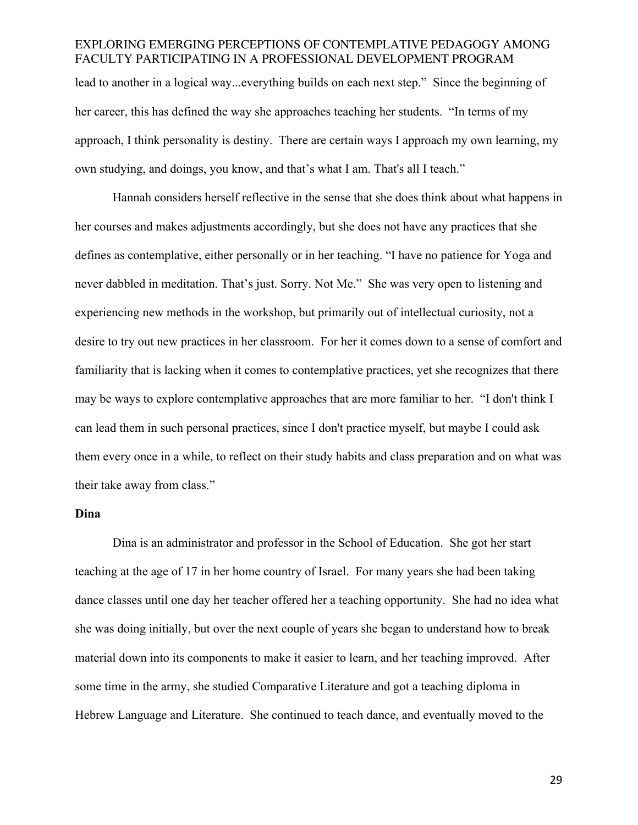lead to another in a logical way...everything builds on each next step." Since the beginning of her career, this has defined the way she approaches teaching her students. "In terms of my approach, I think personality is destiny. There are certain ways I approach my own learning, my own studying, and doings, you know, and that's what I am. That's all I teach."

Hannah considers herself reflective in the sense that she does think about what happens in her courses and makes adjustments accordingly, but she does not have any practices that she defines as contemplative, either personally or in her teaching. "I have no patience for Yoga and never dabbled in meditation. That's just. Sorry. Not Me." She was very open to listening and experiencing new methods in the workshop, but primarily out of intellectual curiosity, not a desire to try out new practices in her classroom. For her it comes down to a sense of comfort and familiarity that is lacking when it comes to contemplative practices, yet she recognizes that there may be ways to explore contemplative approaches that are more familiar to her. "I don't think I can lead them in such personal practices, since I don't practice myself, but maybe I could ask them every once in a while, to reflect on their study habits and class preparation and on what was their take away from class."

#### **Dina**

Dina is an administrator and professor in the School of Education. She got her start teaching at the age of 17 in her home country of Israel. For many years she had been taking dance classes until one day her teacher offered her a teaching opportunity. She had no idea what she was doing initially, but over the next couple of years she began to understand how to break material down into its components to make it easier to learn, and her teaching improved. After some time in the army, she studied Comparative Literature and got a teaching diploma in Hebrew Language and Literature. She continued to teach dance, and eventually moved to the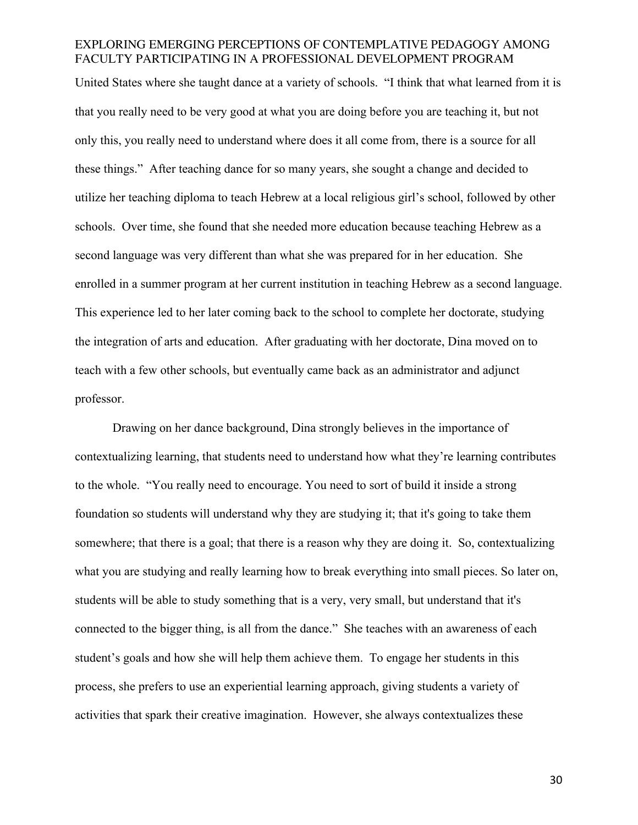United States where she taught dance at a variety of schools. "I think that what learned from it is that you really need to be very good at what you are doing before you are teaching it, but not only this, you really need to understand where does it all come from, there is a source for all these things." After teaching dance for so many years, she sought a change and decided to utilize her teaching diploma to teach Hebrew at a local religious girl's school, followed by other schools. Over time, she found that she needed more education because teaching Hebrew as a second language was very different than what she was prepared for in her education. She enrolled in a summer program at her current institution in teaching Hebrew as a second language. This experience led to her later coming back to the school to complete her doctorate, studying the integration of arts and education. After graduating with her doctorate, Dina moved on to teach with a few other schools, but eventually came back as an administrator and adjunct professor.

Drawing on her dance background, Dina strongly believes in the importance of contextualizing learning, that students need to understand how what they're learning contributes to the whole. "You really need to encourage. You need to sort of build it inside a strong foundation so students will understand why they are studying it; that it's going to take them somewhere; that there is a goal; that there is a reason why they are doing it. So, contextualizing what you are studying and really learning how to break everything into small pieces. So later on, students will be able to study something that is a very, very small, but understand that it's connected to the bigger thing, is all from the dance." She teaches with an awareness of each student's goals and how she will help them achieve them. To engage her students in this process, she prefers to use an experiential learning approach, giving students a variety of activities that spark their creative imagination. However, she always contextualizes these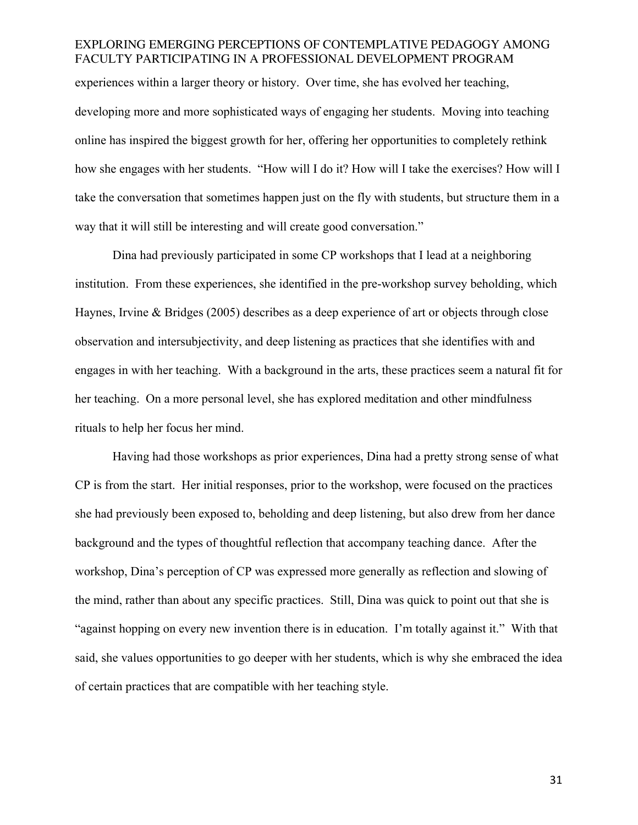# EXPLORING EMERGING PERCEPTIONS OF CONTEMPLATIVE PEDAGOGY AMONG FACULTY PARTICIPATING IN A PROFESSIONAL DEVELOPMENT PROGRAM experiences within a larger theory or history. Over time, she has evolved her teaching,

developing more and more sophisticated ways of engaging her students. Moving into teaching online has inspired the biggest growth for her, offering her opportunities to completely rethink how she engages with her students. "How will I do it? How will I take the exercises? How will I take the conversation that sometimes happen just on the fly with students, but structure them in a way that it will still be interesting and will create good conversation."

Dina had previously participated in some CP workshops that I lead at a neighboring institution. From these experiences, she identified in the pre-workshop survey beholding, which Haynes, Irvine & Bridges (2005) describes as a deep experience of art or objects through close observation and intersubjectivity, and deep listening as practices that she identifies with and engages in with her teaching. With a background in the arts, these practices seem a natural fit for her teaching. On a more personal level, she has explored meditation and other mindfulness rituals to help her focus her mind.

Having had those workshops as prior experiences, Dina had a pretty strong sense of what CP is from the start. Her initial responses, prior to the workshop, were focused on the practices she had previously been exposed to, beholding and deep listening, but also drew from her dance background and the types of thoughtful reflection that accompany teaching dance. After the workshop, Dina's perception of CP was expressed more generally as reflection and slowing of the mind, rather than about any specific practices. Still, Dina was quick to point out that she is "against hopping on every new invention there is in education. I'm totally against it." With that said, she values opportunities to go deeper with her students, which is why she embraced the idea of certain practices that are compatible with her teaching style.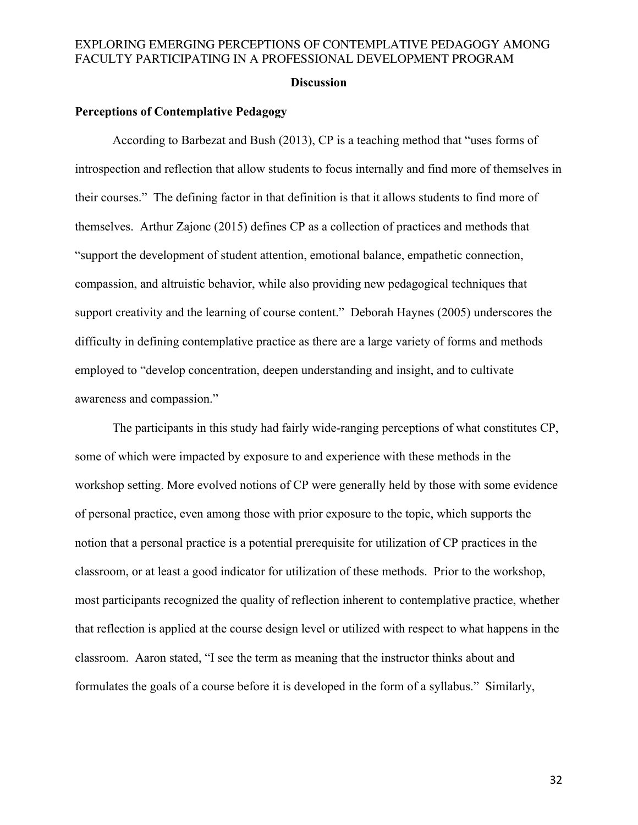#### **Discussion**

### **Perceptions of Contemplative Pedagogy**

According to Barbezat and Bush (2013), CP is a teaching method that "uses forms of introspection and reflection that allow students to focus internally and find more of themselves in their courses." The defining factor in that definition is that it allows students to find more of themselves. Arthur Zajonc (2015) defines CP as a collection of practices and methods that "support the development of student attention, emotional balance, empathetic connection, compassion, and altruistic behavior, while also providing new pedagogical techniques that support creativity and the learning of course content." Deborah Haynes (2005) underscores the difficulty in defining contemplative practice as there are a large variety of forms and methods employed to "develop concentration, deepen understanding and insight, and to cultivate awareness and compassion."

The participants in this study had fairly wide-ranging perceptions of what constitutes CP, some of which were impacted by exposure to and experience with these methods in the workshop setting. More evolved notions of CP were generally held by those with some evidence of personal practice, even among those with prior exposure to the topic, which supports the notion that a personal practice is a potential prerequisite for utilization of CP practices in the classroom, or at least a good indicator for utilization of these methods. Prior to the workshop, most participants recognized the quality of reflection inherent to contemplative practice, whether that reflection is applied at the course design level or utilized with respect to what happens in the classroom. Aaron stated, "I see the term as meaning that the instructor thinks about and formulates the goals of a course before it is developed in the form of a syllabus." Similarly,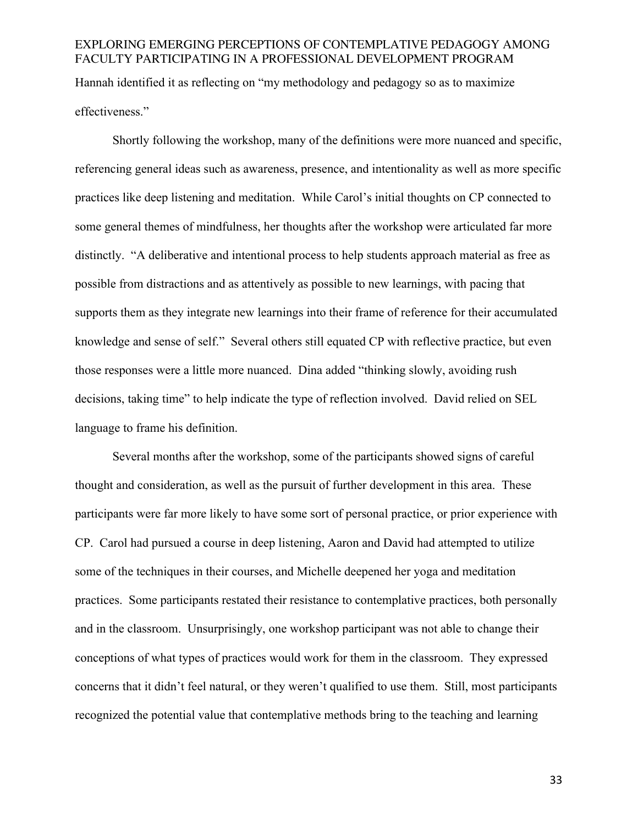# EXPLORING EMERGING PERCEPTIONS OF CONTEMPLATIVE PEDAGOGY AMONG FACULTY PARTICIPATING IN A PROFESSIONAL DEVELOPMENT PROGRAM Hannah identified it as reflecting on "my methodology and pedagogy so as to maximize effectiveness."

Shortly following the workshop, many of the definitions were more nuanced and specific, referencing general ideas such as awareness, presence, and intentionality as well as more specific practices like deep listening and meditation. While Carol's initial thoughts on CP connected to some general themes of mindfulness, her thoughts after the workshop were articulated far more distinctly. "A deliberative and intentional process to help students approach material as free as possible from distractions and as attentively as possible to new learnings, with pacing that supports them as they integrate new learnings into their frame of reference for their accumulated knowledge and sense of self." Several others still equated CP with reflective practice, but even those responses were a little more nuanced. Dina added "thinking slowly, avoiding rush decisions, taking time" to help indicate the type of reflection involved. David relied on SEL language to frame his definition.

Several months after the workshop, some of the participants showed signs of careful thought and consideration, as well as the pursuit of further development in this area. These participants were far more likely to have some sort of personal practice, or prior experience with CP. Carol had pursued a course in deep listening, Aaron and David had attempted to utilize some of the techniques in their courses, and Michelle deepened her yoga and meditation practices. Some participants restated their resistance to contemplative practices, both personally and in the classroom. Unsurprisingly, one workshop participant was not able to change their conceptions of what types of practices would work for them in the classroom. They expressed concerns that it didn't feel natural, or they weren't qualified to use them. Still, most participants recognized the potential value that contemplative methods bring to the teaching and learning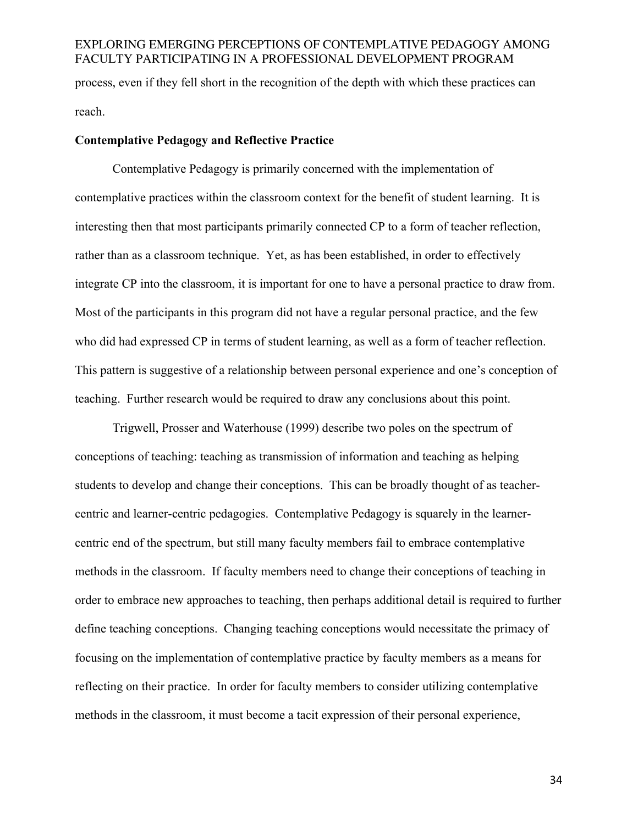# EXPLORING EMERGING PERCEPTIONS OF CONTEMPLATIVE PEDAGOGY AMONG FACULTY PARTICIPATING IN A PROFESSIONAL DEVELOPMENT PROGRAM process, even if they fell short in the recognition of the depth with which these practices can reach.

#### **Contemplative Pedagogy and Reflective Practice**

Contemplative Pedagogy is primarily concerned with the implementation of contemplative practices within the classroom context for the benefit of student learning. It is interesting then that most participants primarily connected CP to a form of teacher reflection, rather than as a classroom technique. Yet, as has been established, in order to effectively integrate CP into the classroom, it is important for one to have a personal practice to draw from. Most of the participants in this program did not have a regular personal practice, and the few who did had expressed CP in terms of student learning, as well as a form of teacher reflection. This pattern is suggestive of a relationship between personal experience and one's conception of teaching. Further research would be required to draw any conclusions about this point.

Trigwell, Prosser and Waterhouse (1999) describe two poles on the spectrum of conceptions of teaching: teaching as transmission of information and teaching as helping students to develop and change their conceptions. This can be broadly thought of as teachercentric and learner-centric pedagogies. Contemplative Pedagogy is squarely in the learnercentric end of the spectrum, but still many faculty members fail to embrace contemplative methods in the classroom. If faculty members need to change their conceptions of teaching in order to embrace new approaches to teaching, then perhaps additional detail is required to further define teaching conceptions. Changing teaching conceptions would necessitate the primacy of focusing on the implementation of contemplative practice by faculty members as a means for reflecting on their practice. In order for faculty members to consider utilizing contemplative methods in the classroom, it must become a tacit expression of their personal experience,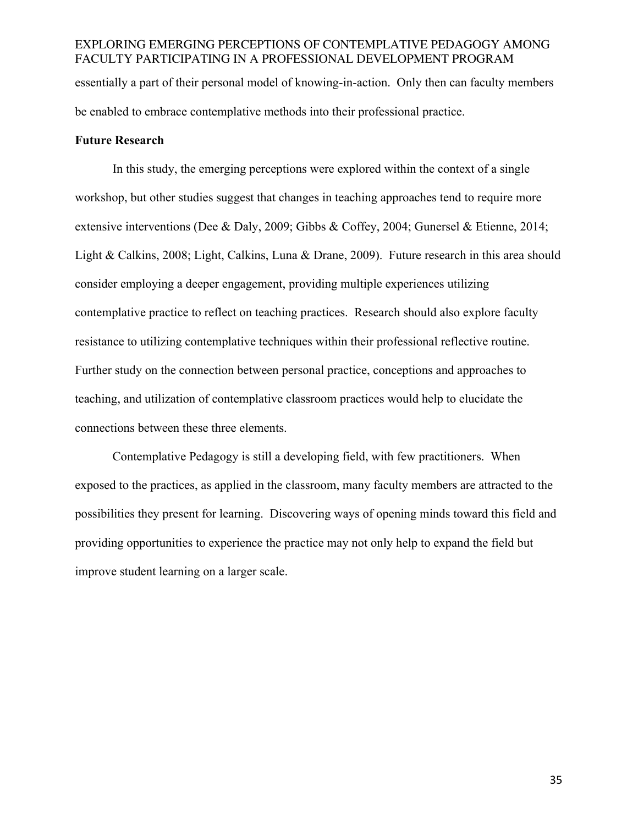# EXPLORING EMERGING PERCEPTIONS OF CONTEMPLATIVE PEDAGOGY AMONG FACULTY PARTICIPATING IN A PROFESSIONAL DEVELOPMENT PROGRAM essentially a part of their personal model of knowing-in-action. Only then can faculty members be enabled to embrace contemplative methods into their professional practice.

#### **Future Research**

In this study, the emerging perceptions were explored within the context of a single workshop, but other studies suggest that changes in teaching approaches tend to require more extensive interventions (Dee & Daly, 2009; Gibbs & Coffey, 2004; Gunersel & Etienne, 2014; Light & Calkins, 2008; Light, Calkins, Luna & Drane, 2009). Future research in this area should consider employing a deeper engagement, providing multiple experiences utilizing contemplative practice to reflect on teaching practices. Research should also explore faculty resistance to utilizing contemplative techniques within their professional reflective routine. Further study on the connection between personal practice, conceptions and approaches to teaching, and utilization of contemplative classroom practices would help to elucidate the connections between these three elements.

Contemplative Pedagogy is still a developing field, with few practitioners. When exposed to the practices, as applied in the classroom, many faculty members are attracted to the possibilities they present for learning. Discovering ways of opening minds toward this field and providing opportunities to experience the practice may not only help to expand the field but improve student learning on a larger scale.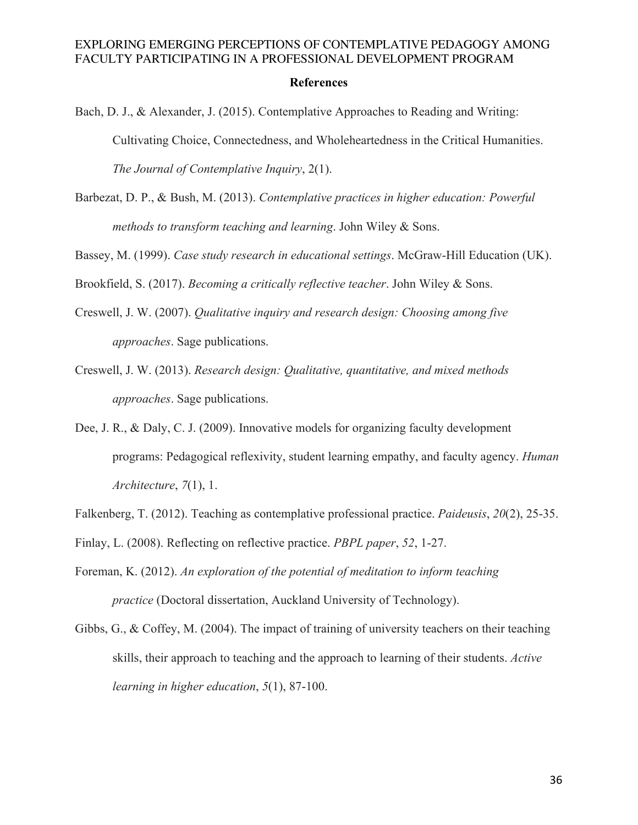#### **References**

- Bach, D. J., & Alexander, J. (2015). Contemplative Approaches to Reading and Writing: Cultivating Choice, Connectedness, and Wholeheartedness in the Critical Humanities. *The Journal of Contemplative Inquiry*, 2(1).
- Barbezat, D. P., & Bush, M. (2013). *Contemplative practices in higher education: Powerful methods to transform teaching and learning*. John Wiley & Sons.
- Bassey, M. (1999). *Case study research in educational settings*. McGraw-Hill Education (UK).

Brookfield, S. (2017). *Becoming a critically reflective teacher*. John Wiley & Sons.

- Creswell, J. W. (2007). *Qualitative inquiry and research design: Choosing among five approaches*. Sage publications.
- Creswell, J. W. (2013). *Research design: Qualitative, quantitative, and mixed methods approaches*. Sage publications.
- Dee, J. R., & Daly, C. J. (2009). Innovative models for organizing faculty development programs: Pedagogical reflexivity, student learning empathy, and faculty agency. *Human Architecture*, *7*(1), 1.
- Falkenberg, T. (2012). Teaching as contemplative professional practice. *Paideusis*, *20*(2), 25-35.
- Finlay, L. (2008). Reflecting on reflective practice. *PBPL paper*, *52*, 1-27.
- Foreman, K. (2012). *An exploration of the potential of meditation to inform teaching practice* (Doctoral dissertation, Auckland University of Technology).
- Gibbs, G., & Coffey, M. (2004). The impact of training of university teachers on their teaching skills, their approach to teaching and the approach to learning of their students. *Active learning in higher education*, *5*(1), 87-100.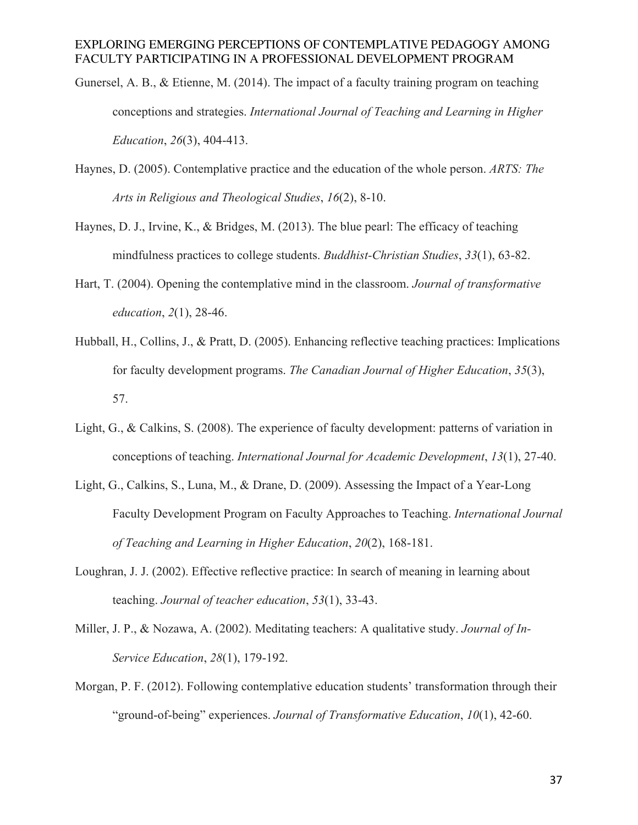- Gunersel, A. B., & Etienne, M. (2014). The impact of a faculty training program on teaching conceptions and strategies. *International Journal of Teaching and Learning in Higher Education*, *26*(3), 404-413.
- Haynes, D. (2005). Contemplative practice and the education of the whole person. *ARTS: The Arts in Religious and Theological Studies*, *16*(2), 8-10.
- Haynes, D. J., Irvine, K., & Bridges, M. (2013). The blue pearl: The efficacy of teaching mindfulness practices to college students. *Buddhist-Christian Studies*, *33*(1), 63-82.
- Hart, T. (2004). Opening the contemplative mind in the classroom. *Journal of transformative education*, *2*(1), 28-46.
- Hubball, H., Collins, J., & Pratt, D. (2005). Enhancing reflective teaching practices: Implications for faculty development programs. *The Canadian Journal of Higher Education*, *35*(3), 57.
- Light, G., & Calkins, S. (2008). The experience of faculty development: patterns of variation in conceptions of teaching. *International Journal for Academic Development*, *13*(1), 27-40.
- Light, G., Calkins, S., Luna, M., & Drane, D. (2009). Assessing the Impact of a Year-Long Faculty Development Program on Faculty Approaches to Teaching. *International Journal of Teaching and Learning in Higher Education*, *20*(2), 168-181.
- Loughran, J. J. (2002). Effective reflective practice: In search of meaning in learning about teaching. *Journal of teacher education*, *53*(1), 33-43.
- Miller, J. P., & Nozawa, A. (2002). Meditating teachers: A qualitative study. *Journal of In-Service Education*, *28*(1), 179-192.
- Morgan, P. F. (2012). Following contemplative education students' transformation through their "ground-of-being" experiences. *Journal of Transformative Education*, *10*(1), 42-60.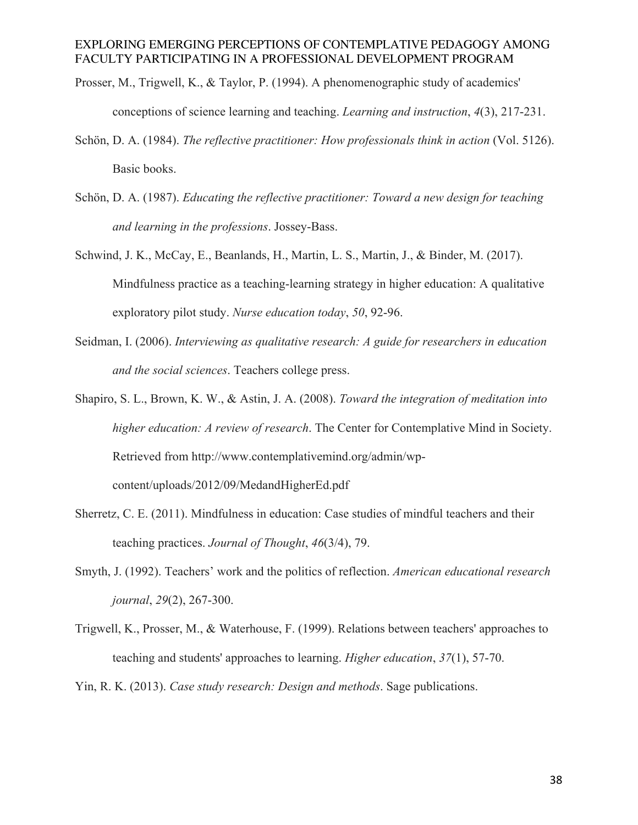- Prosser, M., Trigwell, K., & Taylor, P. (1994). A phenomenographic study of academics' conceptions of science learning and teaching. *Learning and instruction*, *4*(3), 217-231.
- Schön, D. A. (1984). *The reflective practitioner: How professionals think in action* (Vol. 5126). Basic books.
- Schön, D. A. (1987). *Educating the reflective practitioner: Toward a new design for teaching and learning in the professions*. Jossey-Bass.
- Schwind, J. K., McCay, E., Beanlands, H., Martin, L. S., Martin, J., & Binder, M. (2017). Mindfulness practice as a teaching-learning strategy in higher education: A qualitative exploratory pilot study. *Nurse education today*, *50*, 92-96.
- Seidman, I. (2006). *Interviewing as qualitative research: A guide for researchers in education and the social sciences*. Teachers college press.
- Shapiro, S. L., Brown, K. W., & Astin, J. A. (2008). *Toward the integration of meditation into higher education: A review of research*. The Center for Contemplative Mind in Society. Retrieved from http://www.contemplativemind.org/admin/wpcontent/uploads/2012/09/MedandHigherEd.pdf
- Sherretz, C. E. (2011). Mindfulness in education: Case studies of mindful teachers and their teaching practices. *Journal of Thought*, *46*(3/4), 79.
- Smyth, J. (1992). Teachers' work and the politics of reflection. *American educational research journal*, *29*(2), 267-300.
- Trigwell, K., Prosser, M., & Waterhouse, F. (1999). Relations between teachers' approaches to teaching and students' approaches to learning. *Higher education*, *37*(1), 57-70.
- Yin, R. K. (2013). *Case study research: Design and methods*. Sage publications.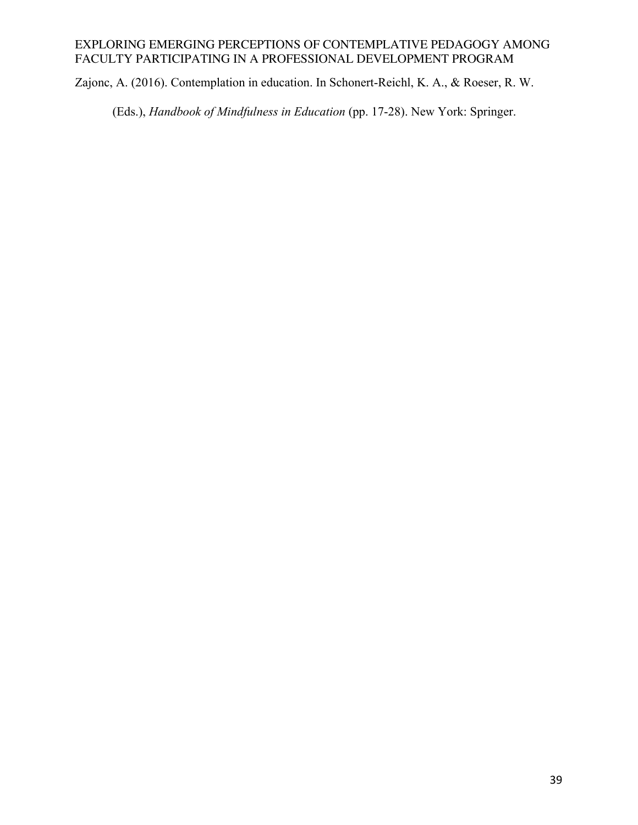Zajonc, A. (2016). Contemplation in education. In Schonert-Reichl, K. A., & Roeser, R. W.

(Eds.), *Handbook of Mindfulness in Education* (pp. 17-28). New York: Springer.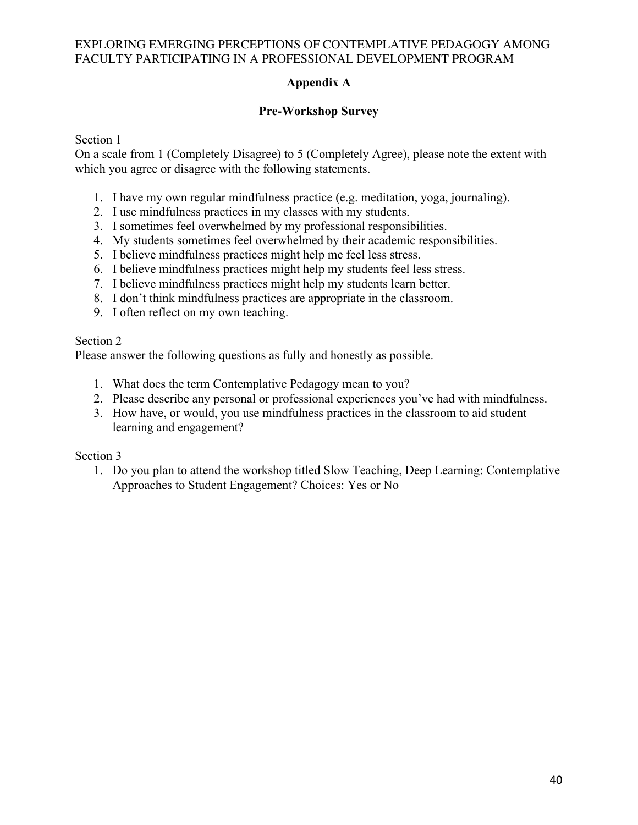# **Appendix A**

# **Pre-Workshop Survey**

Section 1

On a scale from 1 (Completely Disagree) to 5 (Completely Agree), please note the extent with which you agree or disagree with the following statements.

- 1. I have my own regular mindfulness practice (e.g. meditation, yoga, journaling).
- 2. I use mindfulness practices in my classes with my students.
- 3. I sometimes feel overwhelmed by my professional responsibilities.
- 4. My students sometimes feel overwhelmed by their academic responsibilities.
- 5. I believe mindfulness practices might help me feel less stress.
- 6. I believe mindfulness practices might help my students feel less stress.
- 7. I believe mindfulness practices might help my students learn better.
- 8. I don't think mindfulness practices are appropriate in the classroom.
- 9. I often reflect on my own teaching.

## Section 2

Please answer the following questions as fully and honestly as possible.

- 1. What does the term Contemplative Pedagogy mean to you?
- 2. Please describe any personal or professional experiences you've had with mindfulness.
- 3. How have, or would, you use mindfulness practices in the classroom to aid student learning and engagement?

## Section 3

1. Do you plan to attend the workshop titled Slow Teaching, Deep Learning: Contemplative Approaches to Student Engagement? Choices: Yes or No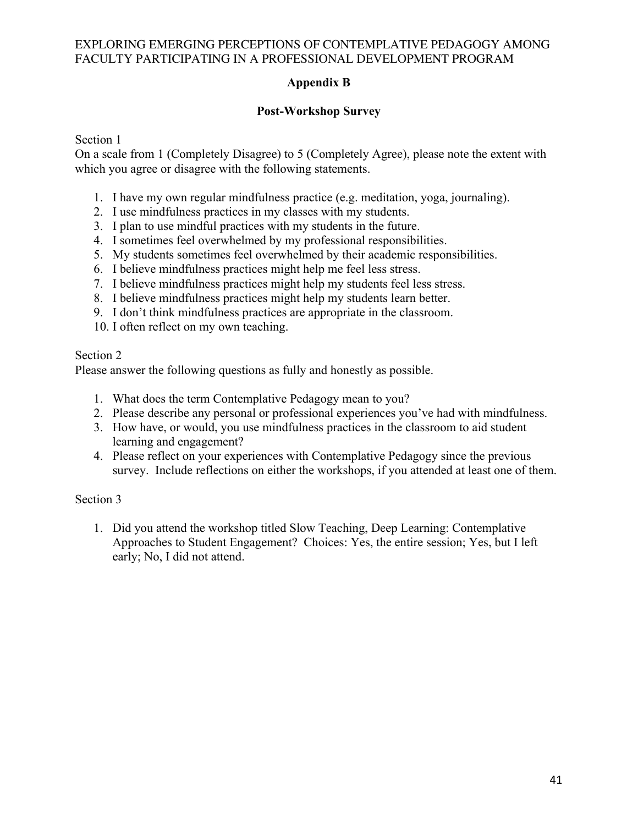# **Appendix B**

# **Post-Workshop Survey**

Section 1

On a scale from 1 (Completely Disagree) to 5 (Completely Agree), please note the extent with which you agree or disagree with the following statements.

- 1. I have my own regular mindfulness practice (e.g. meditation, yoga, journaling).
- 2. I use mindfulness practices in my classes with my students.
- 3. I plan to use mindful practices with my students in the future.
- 4. I sometimes feel overwhelmed by my professional responsibilities.
- 5. My students sometimes feel overwhelmed by their academic responsibilities.
- 6. I believe mindfulness practices might help me feel less stress.
- 7. I believe mindfulness practices might help my students feel less stress.
- 8. I believe mindfulness practices might help my students learn better.
- 9. I don't think mindfulness practices are appropriate in the classroom.
- 10. I often reflect on my own teaching.

## Section 2

Please answer the following questions as fully and honestly as possible.

- 1. What does the term Contemplative Pedagogy mean to you?
- 2. Please describe any personal or professional experiences you've had with mindfulness.
- 3. How have, or would, you use mindfulness practices in the classroom to aid student learning and engagement?
- 4. Please reflect on your experiences with Contemplative Pedagogy since the previous survey. Include reflections on either the workshops, if you attended at least one of them.

# Section 3

1. Did you attend the workshop titled Slow Teaching, Deep Learning: Contemplative Approaches to Student Engagement? Choices: Yes, the entire session; Yes, but I left early; No, I did not attend.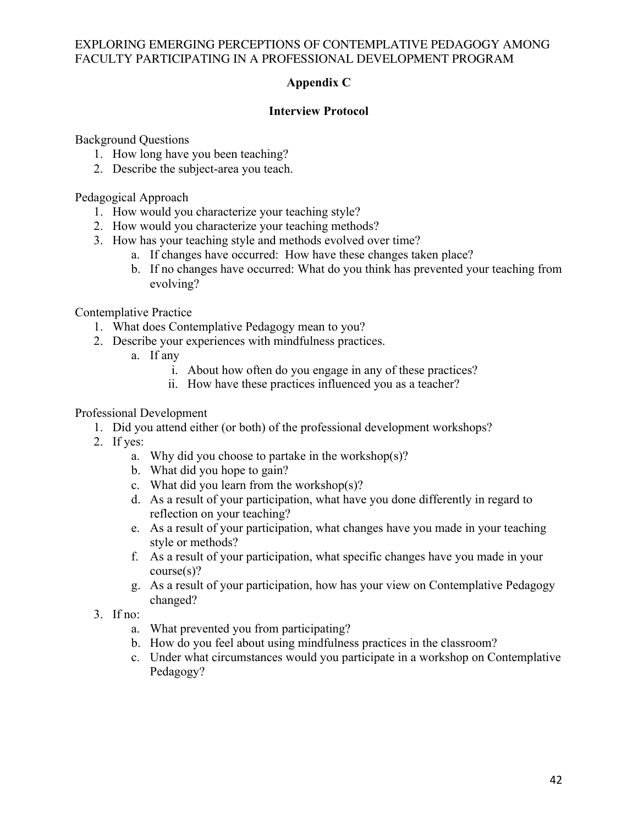# **Appendix C**

# **Interview Protocol**

Background Questions

- 1. How long have you been teaching?
- 2. Describe the subject-area you teach.

Pedagogical Approach

- 1. How would you characterize your teaching style?
- 2. How would you characterize your teaching methods?
- 3. How has your teaching style and methods evolved over time?
	- a. If changes have occurred: How have these changes taken place?
	- b. If no changes have occurred: What do you think has prevented your teaching from evolving?

Contemplative Practice

- 1. What does Contemplative Pedagogy mean to you?
- 2. Describe your experiences with mindfulness practices.
	- a. If any
		- i. About how often do you engage in any of these practices?
		- ii. How have these practices influenced you as a teacher?

## Professional Development

- 1. Did you attend either (or both) of the professional development workshops?
	- 2. If yes:
		- a. Why did you choose to partake in the workshop(s)?
		- b. What did you hope to gain?
		- c. What did you learn from the workshop(s)?
		- d. As a result of your participation, what have you done differently in regard to reflection on your teaching?
		- e. As a result of your participation, what changes have you made in your teaching style or methods?
		- f. As a result of your participation, what specific changes have you made in your course(s)?
		- g. As a result of your participation, how has your view on Contemplative Pedagogy changed?
	- 3. If no:
		- a. What prevented you from participating?
		- b. How do you feel about using mindfulness practices in the classroom?
		- c. Under what circumstances would you participate in a workshop on Contemplative Pedagogy?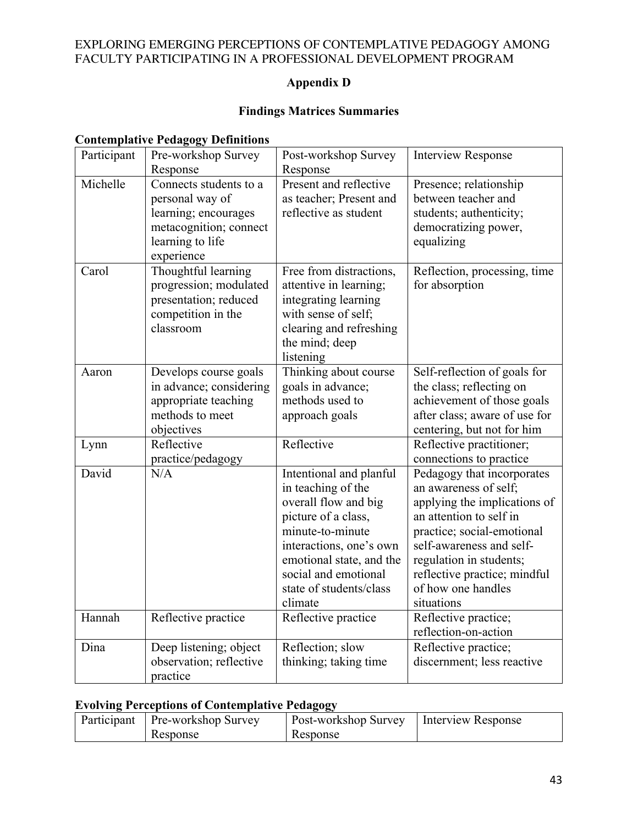# **Appendix D**

# **Findings Matrices Summaries**

# **Contemplative Pedagogy Definitions**

| Participant | Pre-workshop Survey<br>Response                                                                                               | Post-workshop Survey<br>Response                                                                                                                                                                                                      | <b>Interview Response</b>                                                                                                                                                                                                                                               |
|-------------|-------------------------------------------------------------------------------------------------------------------------------|---------------------------------------------------------------------------------------------------------------------------------------------------------------------------------------------------------------------------------------|-------------------------------------------------------------------------------------------------------------------------------------------------------------------------------------------------------------------------------------------------------------------------|
| Michelle    | Connects students to a<br>personal way of<br>learning; encourages<br>metacognition; connect<br>learning to life<br>experience | Present and reflective<br>as teacher; Present and<br>reflective as student                                                                                                                                                            | Presence; relationship<br>between teacher and<br>students; authenticity;<br>democratizing power,<br>equalizing                                                                                                                                                          |
| Carol       | Thoughtful learning<br>progression; modulated<br>presentation; reduced<br>competition in the<br>classroom                     | Free from distractions,<br>attentive in learning;<br>integrating learning<br>with sense of self;<br>clearing and refreshing<br>the mind; deep<br>listening                                                                            | Reflection, processing, time<br>for absorption                                                                                                                                                                                                                          |
| Aaron       | Develops course goals<br>in advance; considering<br>appropriate teaching<br>methods to meet<br>objectives                     | Thinking about course<br>goals in advance;<br>methods used to<br>approach goals                                                                                                                                                       | Self-reflection of goals for<br>the class; reflecting on<br>achievement of those goals<br>after class; aware of use for<br>centering, but not for him                                                                                                                   |
| Lynn        | Reflective<br>practice/pedagogy                                                                                               | Reflective                                                                                                                                                                                                                            | Reflective practitioner;<br>connections to practice                                                                                                                                                                                                                     |
| David       | N/A                                                                                                                           | Intentional and planful<br>in teaching of the<br>overall flow and big<br>picture of a class,<br>minute-to-minute<br>interactions, one's own<br>emotional state, and the<br>social and emotional<br>state of students/class<br>climate | Pedagogy that incorporates<br>an awareness of self;<br>applying the implications of<br>an attention to self in<br>practice; social-emotional<br>self-awareness and self-<br>regulation in students;<br>reflective practice; mindful<br>of how one handles<br>situations |
| Hannah      | Reflective practice                                                                                                           | Reflective practice                                                                                                                                                                                                                   | Reflective practice;<br>reflection-on-action                                                                                                                                                                                                                            |
| Dina        | Deep listening; object<br>observation; reflective<br>practice                                                                 | Reflection; slow<br>thinking; taking time                                                                                                                                                                                             | Reflective practice;<br>discernment; less reactive                                                                                                                                                                                                                      |

# **Evolving Perceptions of Contemplative Pedagogy**

| Participant | - Pre-workshop Survey | Post-workshop Survey | I Interview Response |
|-------------|-----------------------|----------------------|----------------------|
|             | Response              | Response             |                      |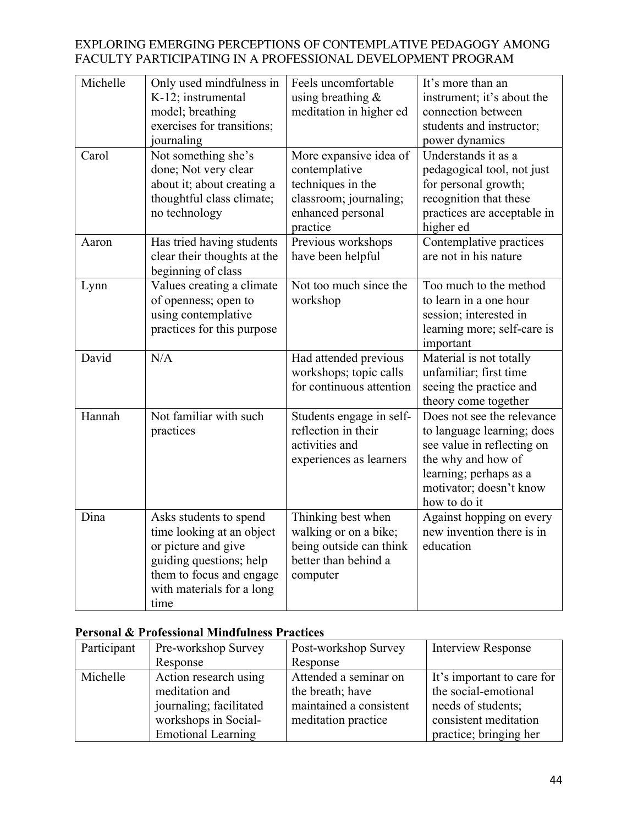| Michelle | Only used mindfulness in<br>K-12; instrumental<br>model; breathing<br>exercises for transitions;<br>journaling                                                         | Feels uncomfortable<br>using breathing $\&$<br>meditation in higher ed                                                  | It's more than an<br>instrument; it's about the<br>connection between<br>students and instructor;<br>power dynamics                                                               |
|----------|------------------------------------------------------------------------------------------------------------------------------------------------------------------------|-------------------------------------------------------------------------------------------------------------------------|-----------------------------------------------------------------------------------------------------------------------------------------------------------------------------------|
| Carol    | Not something she's<br>done; Not very clear<br>about it; about creating a<br>thoughtful class climate;<br>no technology                                                | More expansive idea of<br>contemplative<br>techniques in the<br>classroom; journaling;<br>enhanced personal<br>practice | Understands it as a<br>pedagogical tool, not just<br>for personal growth;<br>recognition that these<br>practices are acceptable in<br>higher ed                                   |
| Aaron    | Has tried having students<br>clear their thoughts at the<br>beginning of class                                                                                         | Previous workshops<br>have been helpful                                                                                 | Contemplative practices<br>are not in his nature                                                                                                                                  |
| Lynn     | Values creating a climate<br>of openness; open to<br>using contemplative<br>practices for this purpose                                                                 | Not too much since the<br>workshop                                                                                      | Too much to the method<br>to learn in a one hour<br>session; interested in<br>learning more; self-care is<br>important                                                            |
| David    | N/A                                                                                                                                                                    | Had attended previous<br>workshops; topic calls<br>for continuous attention                                             | Material is not totally<br>unfamiliar; first time<br>seeing the practice and<br>theory come together                                                                              |
| Hannah   | Not familiar with such<br>practices                                                                                                                                    | Students engage in self-<br>reflection in their<br>activities and<br>experiences as learners                            | Does not see the relevance<br>to language learning; does<br>see value in reflecting on<br>the why and how of<br>learning; perhaps as a<br>motivator; doesn't know<br>how to do it |
| Dina     | Asks students to spend<br>time looking at an object<br>or picture and give<br>guiding questions; help<br>them to focus and engage<br>with materials for a long<br>time | Thinking best when<br>walking or on a bike;<br>being outside can think<br>better than behind a<br>computer              | Against hopping on every<br>new invention there is in<br>education                                                                                                                |

# **Personal & Professional Mindfulness Practices**

| Participant | Pre-workshop Survey       | Post-workshop Survey    | <b>Interview Response</b>  |
|-------------|---------------------------|-------------------------|----------------------------|
|             | Response                  | Response                |                            |
| Michelle    | Action research using     | Attended a seminar on   | It's important to care for |
|             | meditation and            | the breath; have        | the social-emotional       |
|             | journaling; facilitated   | maintained a consistent | needs of students;         |
|             | workshops in Social-      | meditation practice     | consistent meditation      |
|             | <b>Emotional Learning</b> |                         | practice; bringing her     |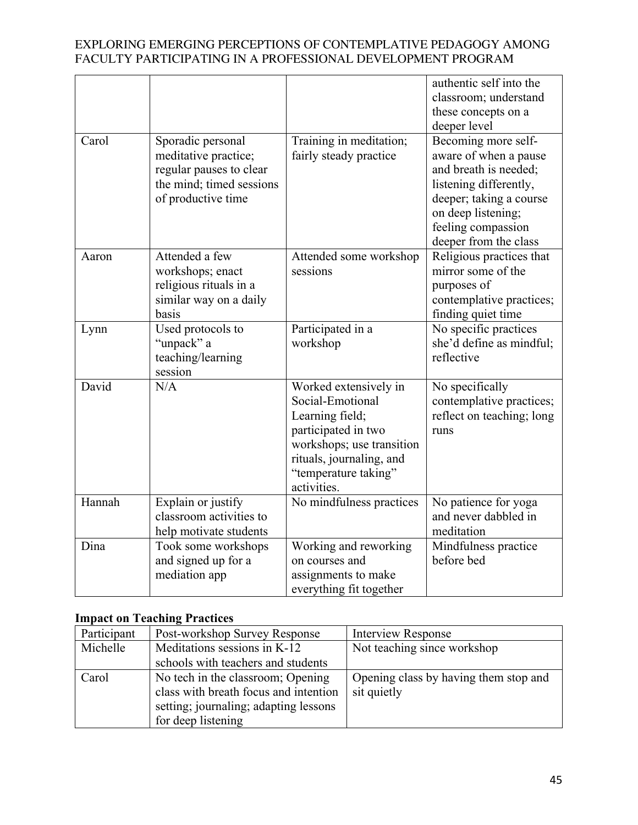|        |                                                                                                                        |                                                                                                                                                                                     | authentic self into the<br>classroom; understand<br>these concepts on a<br>deeper level                                                                                                         |
|--------|------------------------------------------------------------------------------------------------------------------------|-------------------------------------------------------------------------------------------------------------------------------------------------------------------------------------|-------------------------------------------------------------------------------------------------------------------------------------------------------------------------------------------------|
| Carol  | Sporadic personal<br>meditative practice;<br>regular pauses to clear<br>the mind; timed sessions<br>of productive time | Training in meditation;<br>fairly steady practice                                                                                                                                   | Becoming more self-<br>aware of when a pause<br>and breath is needed;<br>listening differently,<br>deeper; taking a course<br>on deep listening;<br>feeling compassion<br>deeper from the class |
| Aaron  | Attended a few<br>workshops; enact<br>religious rituals in a<br>similar way on a daily<br>basis                        | Attended some workshop<br>sessions                                                                                                                                                  | Religious practices that<br>mirror some of the<br>purposes of<br>contemplative practices;<br>finding quiet time                                                                                 |
| Lynn   | Used protocols to<br>"unpack" a<br>teaching/learning<br>session                                                        | Participated in a<br>workshop                                                                                                                                                       | No specific practices<br>she'd define as mindful;<br>reflective                                                                                                                                 |
| David  | N/A                                                                                                                    | Worked extensively in<br>Social-Emotional<br>Learning field;<br>participated in two<br>workshops; use transition<br>rituals, journaling, and<br>"temperature taking"<br>activities. | No specifically<br>contemplative practices;<br>reflect on teaching; long<br>runs                                                                                                                |
| Hannah | Explain or justify<br>classroom activities to<br>help motivate students                                                | No mindfulness practices                                                                                                                                                            | No patience for yoga<br>and never dabbled in<br>meditation                                                                                                                                      |
| Dina   | Took some workshops<br>and signed up for a<br>mediation app                                                            | Working and reworking<br>on courses and<br>assignments to make<br>everything fit together                                                                                           | Mindfulness practice<br>before bed                                                                                                                                                              |

# **Impact on Teaching Practices**

| Participant | Post-workshop Survey Response         | Interview Response                    |
|-------------|---------------------------------------|---------------------------------------|
| Michelle    | Meditations sessions in K-12          | Not teaching since workshop           |
|             | schools with teachers and students    |                                       |
| Carol       | No tech in the classroom; Opening     | Opening class by having them stop and |
|             | class with breath focus and intention | sit quietly                           |
|             | setting; journaling; adapting lessons |                                       |
|             | for deep listening                    |                                       |